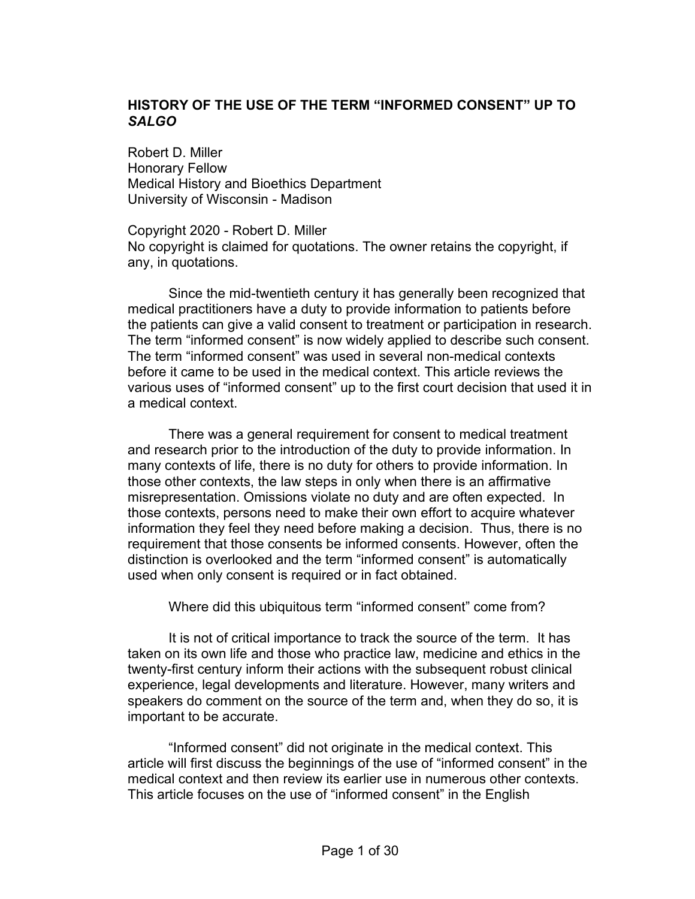# **HISTORY OF THE USE OF THE TERM "INFORMED CONSENT" UP TO** *SALGO*

Robert D. Miller Honorary Fellow Medical History and Bioethics Department University of Wisconsin - Madison

Copyright 2020 - Robert D. Miller No copyright is claimed for quotations. The owner retains the copyright, if any, in quotations.

Since the mid-twentieth century it has generally been recognized that medical practitioners have a duty to provide information to patients before the patients can give a valid consent to treatment or participation in research. The term "informed consent" is now widely applied to describe such consent. The term "informed consent" was used in several non-medical contexts before it came to be used in the medical context. This article reviews the various uses of "informed consent" up to the first court decision that used it in a medical context.

There was a general requirement for consent to medical treatment and research prior to the introduction of the duty to provide information. In many contexts of life, there is no duty for others to provide information. In those other contexts, the law steps in only when there is an affirmative misrepresentation. Omissions violate no duty and are often expected. In those contexts, persons need to make their own effort to acquire whatever information they feel they need before making a decision. Thus, there is no requirement that those consents be informed consents. However, often the distinction is overlooked and the term "informed consent" is automatically used when only consent is required or in fact obtained.

Where did this ubiquitous term "informed consent" come from?

It is not of critical importance to track the source of the term. It has taken on its own life and those who practice law, medicine and ethics in the twenty-first century inform their actions with the subsequent robust clinical experience, legal developments and literature. However, many writers and speakers do comment on the source of the term and, when they do so, it is important to be accurate.

"Informed consent" did not originate in the medical context. This article will first discuss the beginnings of the use of "informed consent" in the medical context and then review its earlier use in numerous other contexts. This article focuses on the use of "informed consent" in the English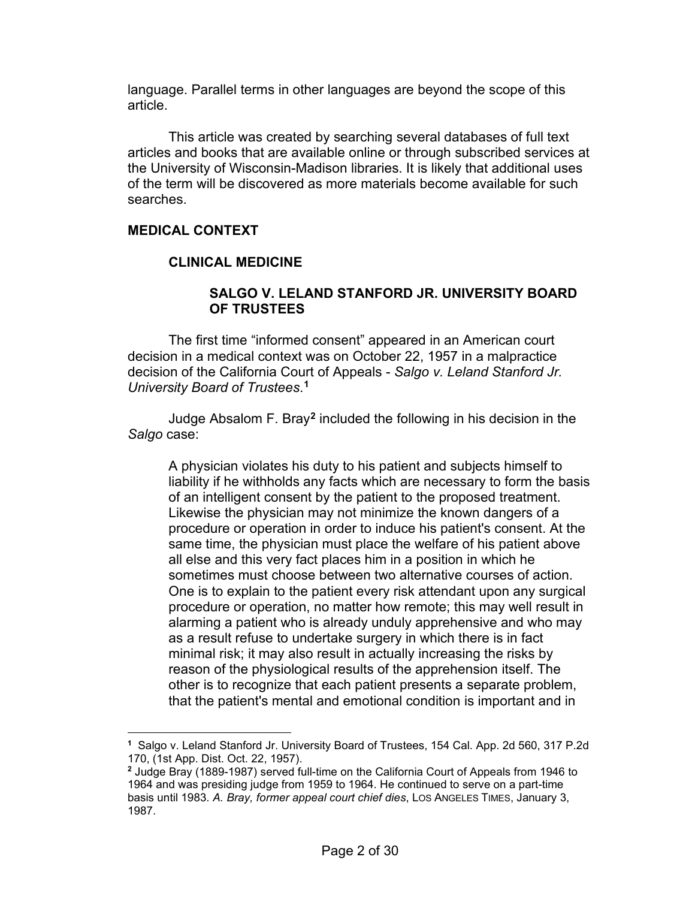language. Parallel terms in other languages are beyond the scope of this article.

This article was created by searching several databases of full text articles and books that are available online or through subscribed services at the University of Wisconsin-Madison libraries. It is likely that additional uses of the term will be discovered as more materials become available for such searches.

# **MEDICAL CONTEXT**

### **CLINICAL MEDICINE**

### **SALGO V. LELAND STANFORD JR. UNIVERSITY BOARD OF TRUSTEES**

The first time "informed consent" appeared in an American court decision in a medical context was on October 22, 1957 in a malpractice decision of the California Court of Appeals - *Salgo v. Leland Stanford Jr. University Board of Trustees*. **[1](#page-1-0)**

Judge Absalom F. Bray**[2](#page-1-1)** included the following in his decision in the *Salgo* case:

A physician violates his duty to his patient and subjects himself to liability if he withholds any facts which are necessary to form the basis of an intelligent consent by the patient to the proposed treatment. Likewise the physician may not minimize the known dangers of a procedure or operation in order to induce his patient's consent. At the same time, the physician must place the welfare of his patient above all else and this very fact places him in a position in which he sometimes must choose between two alternative courses of action. One is to explain to the patient every risk attendant upon any surgical procedure or operation, no matter how remote; this may well result in alarming a patient who is already unduly apprehensive and who may as a result refuse to undertake surgery in which there is in fact minimal risk; it may also result in actually increasing the risks by reason of the physiological results of the apprehension itself. The other is to recognize that each patient presents a separate problem, that the patient's mental and emotional condition is important and in

<span id="page-1-0"></span>**<sup>1</sup>** Salgo v. Leland Stanford Jr. University Board of Trustees, 154 Cal. App. 2d 560, 317 P.2d 170, (1st App. Dist. Oct. 22, 1957).

<span id="page-1-1"></span>**<sup>2</sup>** Judge Bray (1889-1987) served full-time on the California Court of Appeals from 1946 to 1964 and was presiding judge from 1959 to 1964. He continued to serve on a part-time basis until 1983. *A. Bray, former appeal court chief dies*, LOS ANGELES TIMES, January 3, 1987.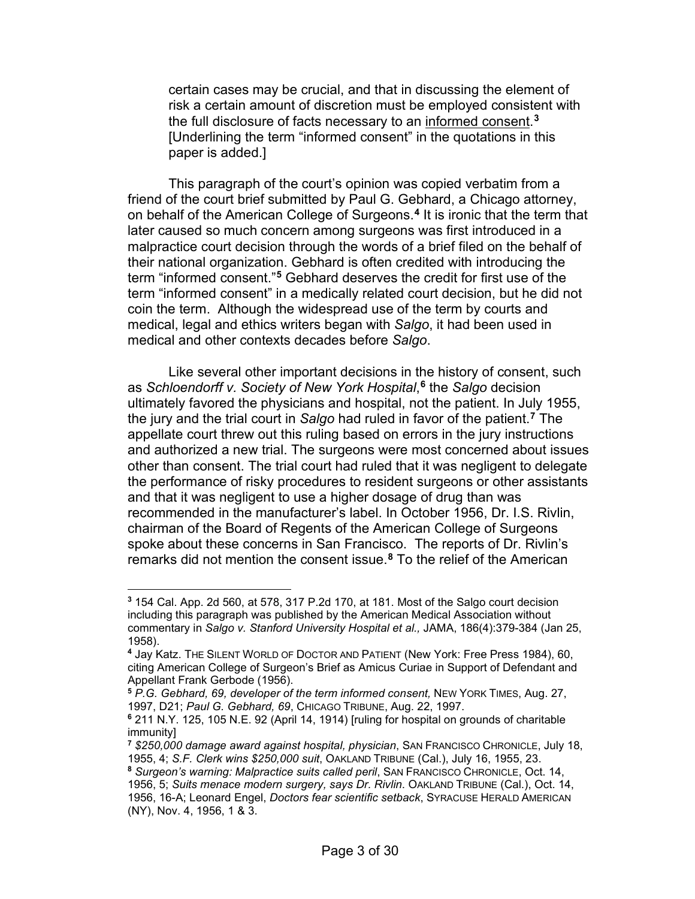certain cases may be crucial, and that in discussing the element of risk a certain amount of discretion must be employed consistent with the full disclosure of facts necessary to an informed consent. **[3](#page-2-0)** [Underlining the term "informed consent" in the quotations in this paper is added.]

This paragraph of the court's opinion was copied verbatim from a friend of the court brief submitted by Paul G. Gebhard, a Chicago attorney, on behalf of the American College of Surgeons. **[4](#page-2-1)** It is ironic that the term that later caused so much concern among surgeons was first introduced in a malpractice court decision through the words of a brief filed on the behalf of their national organization. Gebhard is often credited with introducing the term "informed consent."**[5](#page-2-2)** Gebhard deserves the credit for first use of the term "informed consent" in a medically related court decision, but he did not coin the term. Although the widespread use of the term by courts and medical, legal and ethics writers began with *Salgo*, it had been used in medical and other contexts decades before *Salgo*.

Like several other important decisions in the history of consent, such as *Schloendorff v. Society of New York Hospital*, **[6](#page-2-3)** the *Salgo* decision ultimately favored the physicians and hospital, not the patient. In July 1955, the jury and the trial court in *Salgo* had ruled in favor of the patient.**[7](#page-2-4)** The appellate court threw out this ruling based on errors in the jury instructions and authorized a new trial. The surgeons were most concerned about issues other than consent. The trial court had ruled that it was negligent to delegate the performance of risky procedures to resident surgeons or other assistants and that it was negligent to use a higher dosage of drug than was recommended in the manufacturer's label. In October 1956, Dr. I.S. Rivlin, chairman of the Board of Regents of the American College of Surgeons spoke about these concerns in San Francisco. The reports of Dr. Rivlin's remarks did not mention the consent issue.**[8](#page-2-5)** To the relief of the American

<span id="page-2-0"></span>**<sup>3</sup>** 154 Cal. App. 2d 560, at 578, 317 P.2d 170, at 181. Most of the Salgo court decision including this paragraph was published by the American Medical Association without commentary in *Salgo v. Stanford University Hospital et al.,* JAMA, 186(4):379-384 (Jan 25, 1958).

<span id="page-2-1"></span>**<sup>4</sup>** Jay Katz. THE SILENT WORLD OF DOCTOR AND PATIENT (New York: Free Press 1984), 60, citing American College of Surgeon's Brief as Amicus Curiae in Support of Defendant and Appellant Frank Gerbode (1956).

<span id="page-2-2"></span>**<sup>5</sup>** *P.G. Gebhard, 69, developer of the term informed consent,* NEW YORK TIMES, Aug. 27, 1997, D21; *Paul G. Gebhard, 69*, CHICAGO TRIBUNE, Aug. 22, 1997.

<span id="page-2-3"></span>**<sup>6</sup>** 211 N.Y. 125, 105 N.E. 92 (April 14, 1914) [ruling for hospital on grounds of charitable immunity]

<span id="page-2-4"></span>**<sup>7</sup>** *\$250,000 damage award against hospital, physician*, SAN FRANCISCO CHRONICLE, July 18, 1955, 4; *S.F. Clerk wins \$250,000 suit*, OAKLAND TRIBUNE (Cal.), July 16, 1955, 23.

<span id="page-2-5"></span>**<sup>8</sup>** *Surgeon's warning: Malpractice suits called peril*, SAN FRANCISCO CHRONICLE, Oct. 14,

<sup>1956, 5;</sup> *Suits menace modern surgery, says Dr. Rivlin*. OAKLAND TRIBUNE (Cal.), Oct. 14, 1956, 16-A; Leonard Engel, *Doctors fear scientific setback*, SYRACUSE HERALD AMERICAN (NY), Nov. 4, 1956, 1 & 3.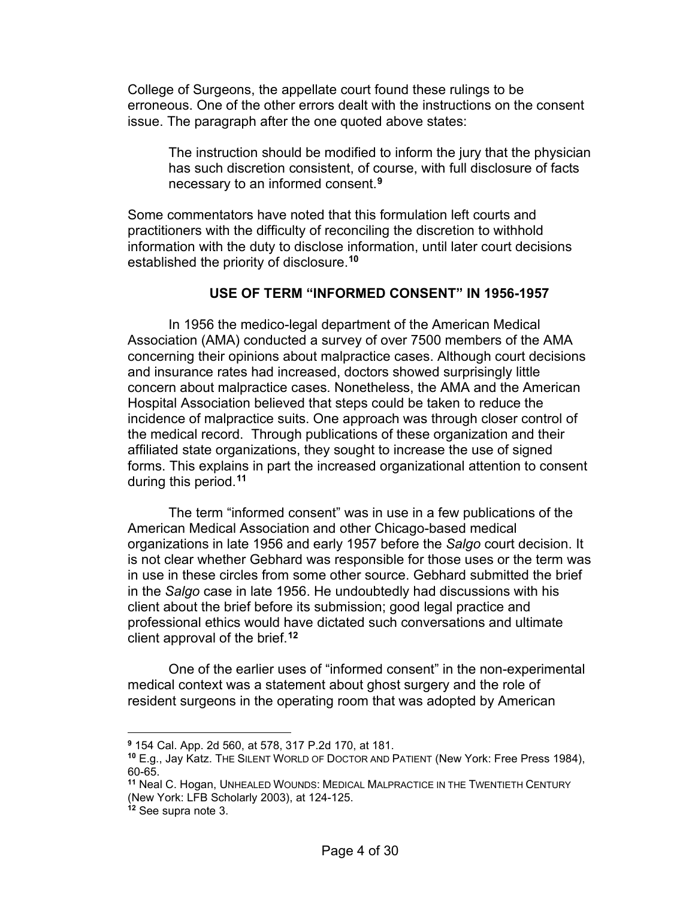College of Surgeons, the appellate court found these rulings to be erroneous. One of the other errors dealt with the instructions on the consent issue. The paragraph after the one quoted above states:

The instruction should be modified to inform the jury that the physician has such discretion consistent, of course, with full disclosure of facts necessary to an informed consent.**[9](#page-3-0)**

Some commentators have noted that this formulation left courts and practitioners with the difficulty of reconciling the discretion to withhold information with the duty to disclose information, until later court decisions established the priority of disclosure.**[10](#page-3-1)**

### **USE OF TERM "INFORMED CONSENT" IN 1956-1957**

In 1956 the medico-legal department of the American Medical Association (AMA) conducted a survey of over 7500 members of the AMA concerning their opinions about malpractice cases. Although court decisions and insurance rates had increased, doctors showed surprisingly little concern about malpractice cases. Nonetheless, the AMA and the American Hospital Association believed that steps could be taken to reduce the incidence of malpractice suits. One approach was through closer control of the medical record. Through publications of these organization and their affiliated state organizations, they sought to increase the use of signed forms. This explains in part the increased organizational attention to consent during this period.**[11](#page-3-2)**

The term "informed consent" was in use in a few publications of the American Medical Association and other Chicago-based medical organizations in late 1956 and early 1957 before the *Salgo* court decision. It is not clear whether Gebhard was responsible for those uses or the term was in use in these circles from some other source. Gebhard submitted the brief in the *Salgo* case in late 1956. He undoubtedly had discussions with his client about the brief before its submission; good legal practice and professional ethics would have dictated such conversations and ultimate client approval of the brief.**[12](#page-3-3)**

One of the earlier uses of "informed consent" in the non-experimental medical context was a statement about ghost surgery and the role of resident surgeons in the operating room that was adopted by American

<span id="page-3-0"></span>**<sup>9</sup>** 154 Cal. App. 2d 560, at 578, 317 P.2d 170, at 181.

<span id="page-3-1"></span>**<sup>10</sup>** E.g., Jay Katz. THE SILENT WORLD OF DOCTOR AND PATIENT (New York: Free Press 1984), 60-65.

<span id="page-3-2"></span>**<sup>11</sup>** Neal C. Hogan, UNHEALED WOUNDS: MEDICAL MALPRACTICE IN THE TWENTIETH CENTURY (New York: LFB Scholarly 2003), at 124-125.

<span id="page-3-3"></span>**<sup>12</sup>** See supra note 3.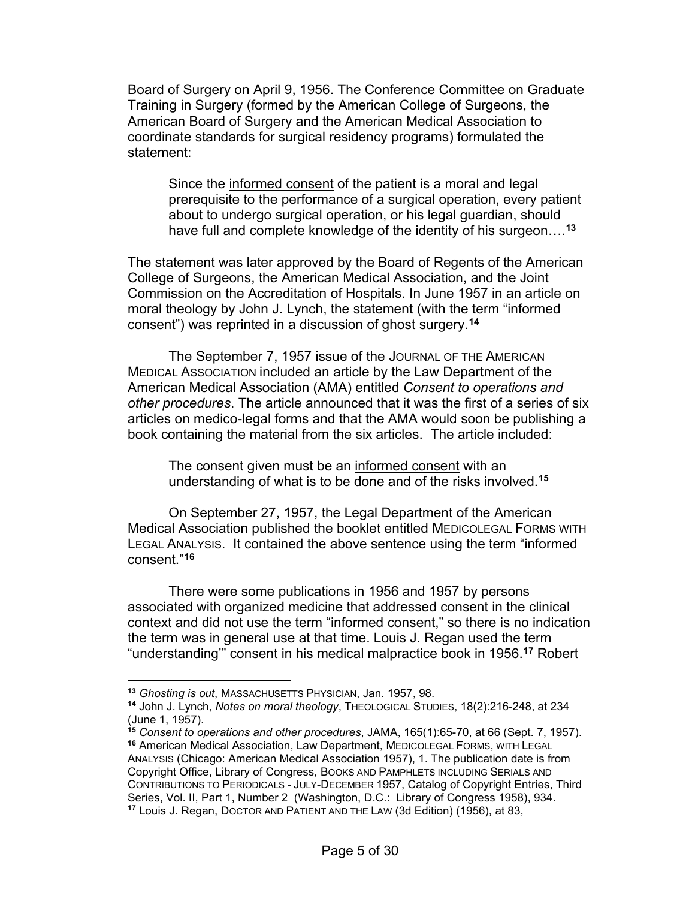Board of Surgery on April 9, 1956. The Conference Committee on Graduate Training in Surgery (formed by the American College of Surgeons, the American Board of Surgery and the American Medical Association to coordinate standards for surgical residency programs) formulated the statement:

Since the informed consent of the patient is a moral and legal prerequisite to the performance of a surgical operation, every patient about to undergo surgical operation, or his legal guardian, should have full and complete knowledge of the identity of his surgeon….**[13](#page-4-0)**

The statement was later approved by the Board of Regents of the American College of Surgeons, the American Medical Association, and the Joint Commission on the Accreditation of Hospitals. In June 1957 in an article on moral theology by John J. Lynch, the statement (with the term "informed consent") was reprinted in a discussion of ghost surgery.**[14](#page-4-1)**

The September 7, 1957 issue of the JOURNAL OF THE AMERICAN MEDICAL ASSOCIATION included an article by the Law Department of the American Medical Association (AMA) entitled *Consent to operations and other procedures*. The article announced that it was the first of a series of six articles on medico-legal forms and that the AMA would soon be publishing a book containing the material from the six articles. The article included:

The consent given must be an informed consent with an understanding of what is to be done and of the risks involved.**[15](#page-4-2)**

On September 27, 1957, the Legal Department of the American Medical Association published the booklet entitled MEDICOLEGAL FORMS WITH LEGAL ANALYSIS. It contained the above sentence using the term "informed consent."**[16](#page-4-3)**

There were some publications in 1956 and 1957 by persons associated with organized medicine that addressed consent in the clinical context and did not use the term "informed consent," so there is no indication the term was in general use at that time. Louis J. Regan used the term "understanding'" consent in his medical malpractice book in 1956.**[17](#page-4-4)** Robert

<span id="page-4-0"></span>**<sup>13</sup>** *Ghosting is out*, MASSACHUSETTS PHYSICIAN, Jan. 1957, 98.

<span id="page-4-1"></span>**<sup>14</sup>** John J. Lynch, *Notes on moral theology*, THEOLOGICAL STUDIES, 18(2):216-248, at 234 (June 1, 1957).

<span id="page-4-4"></span><span id="page-4-3"></span><span id="page-4-2"></span>**<sup>15</sup>** *Consent to operations and other procedures*, JAMA, 165(1):65-70, at 66 (Sept. 7, 1957). **<sup>16</sup>** American Medical Association, Law Department, MEDICOLEGAL FORMS, WITH LEGAL ANALYSIS (Chicago: American Medical Association 1957), 1. The publication date is from Copyright Office, Library of Congress, BOOKS AND PAMPHLETS INCLUDING SERIALS AND CONTRIBUTIONS TO PERIODICALS - JULY-DECEMBER 1957, Catalog of Copyright Entries, Third Series, Vol. II, Part 1, Number 2 (Washington, D.C.: Library of Congress 1958), 934. **<sup>17</sup>** Louis J. Regan, DOCTOR AND PATIENT AND THE LAW (3d Edition) (1956), at 83,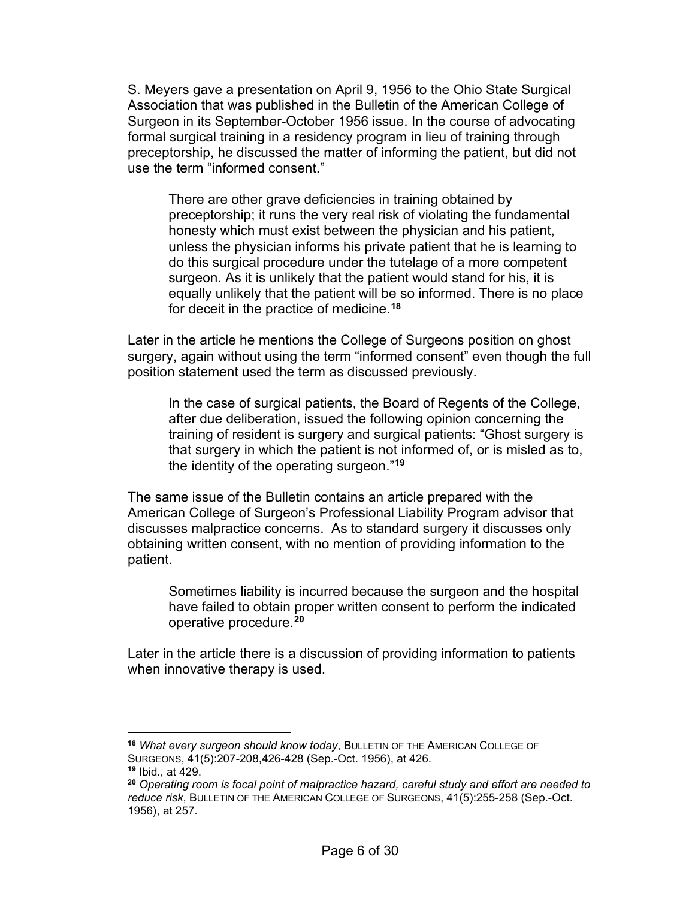S. Meyers gave a presentation on April 9, 1956 to the Ohio State Surgical Association that was published in the Bulletin of the American College of Surgeon in its September-October 1956 issue. In the course of advocating formal surgical training in a residency program in lieu of training through preceptorship, he discussed the matter of informing the patient, but did not use the term "informed consent."

There are other grave deficiencies in training obtained by preceptorship; it runs the very real risk of violating the fundamental honesty which must exist between the physician and his patient, unless the physician informs his private patient that he is learning to do this surgical procedure under the tutelage of a more competent surgeon. As it is unlikely that the patient would stand for his, it is equally unlikely that the patient will be so informed. There is no place for deceit in the practice of medicine.**[18](#page-5-0)**

Later in the article he mentions the College of Surgeons position on ghost surgery, again without using the term "informed consent" even though the full position statement used the term as discussed previously.

In the case of surgical patients, the Board of Regents of the College, after due deliberation, issued the following opinion concerning the training of resident is surgery and surgical patients: "Ghost surgery is that surgery in which the patient is not informed of, or is misled as to, the identity of the operating surgeon."**[19](#page-5-1)**

The same issue of the Bulletin contains an article prepared with the American College of Surgeon's Professional Liability Program advisor that discusses malpractice concerns. As to standard surgery it discusses only obtaining written consent, with no mention of providing information to the patient.

Sometimes liability is incurred because the surgeon and the hospital have failed to obtain proper written consent to perform the indicated operative procedure.**[20](#page-5-2)**

Later in the article there is a discussion of providing information to patients when innovative therapy is used.

<span id="page-5-0"></span>**<sup>18</sup>** *What every surgeon should know today*, BULLETIN OF THE AMERICAN COLLEGE OF SURGEONS, 41(5):207-208,426-428 (Sep.-Oct. 1956), at 426. **<sup>19</sup>** Ibid., at 429.

<span id="page-5-2"></span><span id="page-5-1"></span>**<sup>20</sup>** *Operating room is focal point of malpractice hazard, careful study and effort are needed to reduce risk*, BULLETIN OF THE AMERICAN COLLEGE OF SURGEONS, 41(5):255-258 (Sep.-Oct. 1956), at 257.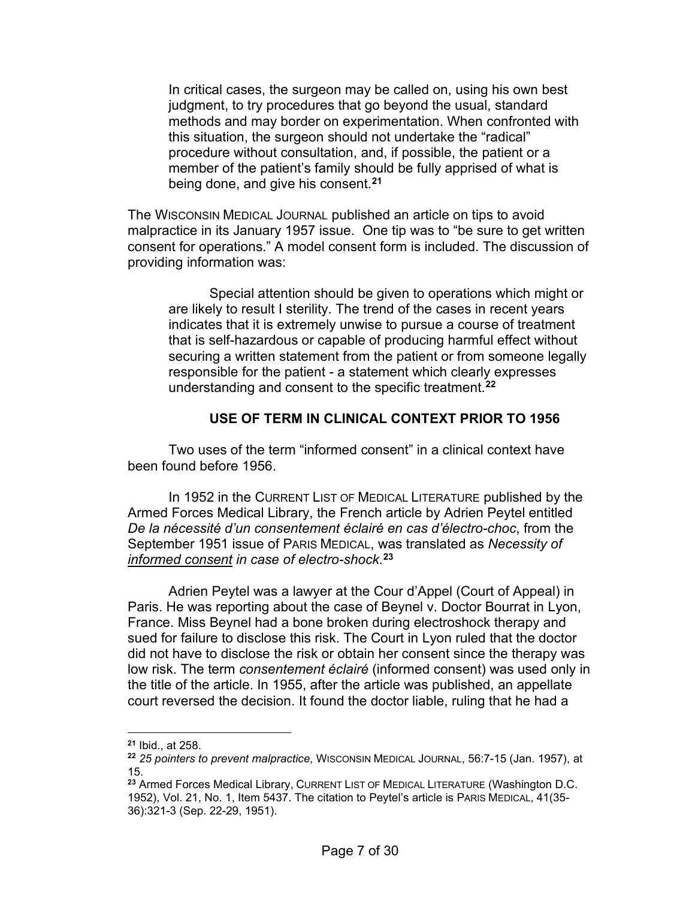In critical cases, the surgeon may be called on, using his own best judgment, to try procedures that go beyond the usual, standard methods and may border on experimentation. When confronted with this situation, the surgeon should not undertake the "radical" procedure without consultation, and, if possible, the patient or a member of the patient's family should be fully apprised of what is being done, and give his consent.**[21](#page-6-0)**

The WISCONSIN MEDICAL JOURNAL published an article on tips to avoid malpractice in its January 1957 issue. One tip was to "be sure to get written consent for operations." A model consent form is included. The discussion of providing information was:

Special attention should be given to operations which might or are likely to result I sterility. The trend of the cases in recent years indicates that it is extremely unwise to pursue a course of treatment that is self-hazardous or capable of producing harmful effect without securing a written statement from the patient or from someone legally responsible for the patient - a statement which clearly expresses understanding and consent to the specific treatment.**[22](#page-6-1)**

### **USE OF TERM IN CLINICAL CONTEXT PRIOR TO 1956**

Two uses of the term "informed consent" in a clinical context have been found before 1956.

In 1952 in the CURRENT LIST OF MEDICAL LITERATURE published by the Armed Forces Medical Library, the French article by Adrien Peytel entitled *De la nécessité d'un consentement éclairé en cas d'électro-choc*, from the September 1951 issue of PARIS MEDICAL, was translated as *Necessity of informed consent in case of electro-shock*. **[23](#page-6-2)**

Adrien Peytel was a lawyer at the Cour d'Appel (Court of Appeal) in Paris. He was reporting about the case of Beynel v. Doctor Bourrat in Lyon, France. Miss Beynel had a bone broken during electroshock therapy and sued for failure to disclose this risk. The Court in Lyon ruled that the doctor did not have to disclose the risk or obtain her consent since the therapy was low risk. The term *consentement éclairé* (informed consent) was used only in the title of the article. In 1955, after the article was published, an appellate court reversed the decision. It found the doctor liable, ruling that he had a

<span id="page-6-0"></span>**<sup>21</sup>** Ibid., at 258.

<span id="page-6-1"></span>**<sup>22</sup>** *25 pointers to prevent malpractice*, WISCONSIN MEDICAL JOURNAL, 56:7-15 (Jan. 1957), at 15.

<span id="page-6-2"></span>**<sup>23</sup>** Armed Forces Medical Library, CURRENT LIST OF MEDICAL LITERATURE (Washington D.C. 1952), Vol. 21, No. 1, Item 5437. The citation to Peytel's article is PARIS MEDICAL, 41(35- 36):321-3 (Sep. 22-29, 1951).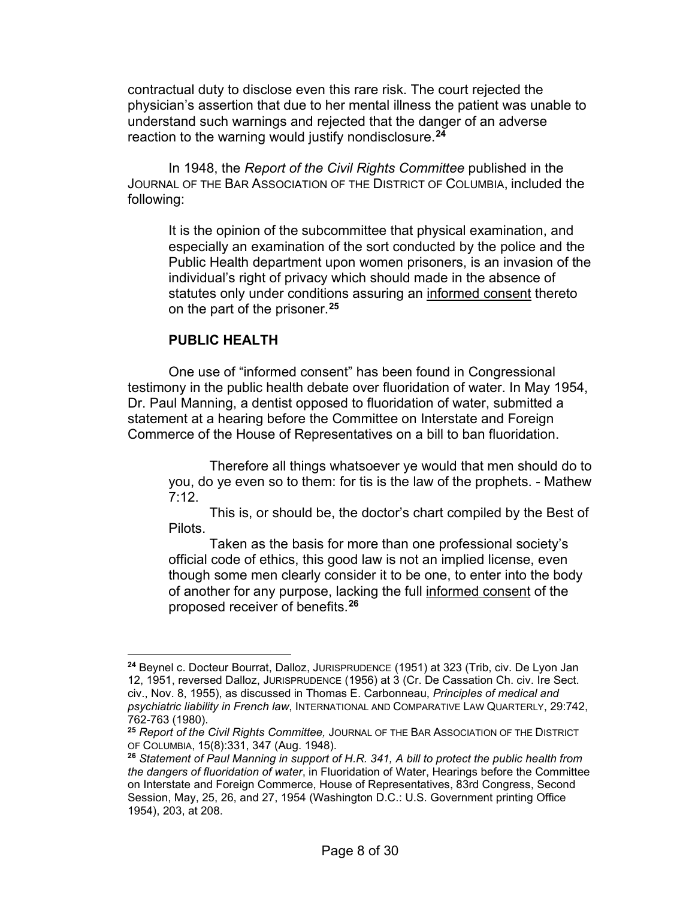contractual duty to disclose even this rare risk. The court rejected the physician's assertion that due to her mental illness the patient was unable to understand such warnings and rejected that the danger of an adverse reaction to the warning would justify nondisclosure.**[24](#page-7-0)**

In 1948, the *Report of the Civil Rights Committee* published in the JOURNAL OF THE BAR ASSOCIATION OF THE DISTRICT OF COLUMBIA, included the following:

It is the opinion of the subcommittee that physical examination, and especially an examination of the sort conducted by the police and the Public Health department upon women prisoners, is an invasion of the individual's right of privacy which should made in the absence of statutes only under conditions assuring an informed consent thereto on the part of the prisoner.**[25](#page-7-1)**

### **PUBLIC HEALTH**

One use of "informed consent" has been found in Congressional testimony in the public health debate over fluoridation of water. In May 1954, Dr. Paul Manning, a dentist opposed to fluoridation of water, submitted a statement at a hearing before the Committee on Interstate and Foreign Commerce of the House of Representatives on a bill to ban fluoridation.

Therefore all things whatsoever ye would that men should do to you, do ye even so to them: for tis is the law of the prophets. - Mathew  $7.12$ 

This is, or should be, the doctor's chart compiled by the Best of Pilots.

Taken as the basis for more than one professional society's official code of ethics, this good law is not an implied license, even though some men clearly consider it to be one, to enter into the body of another for any purpose, lacking the full informed consent of the proposed receiver of benefits.**[26](#page-7-2)**

<span id="page-7-0"></span>**<sup>24</sup>** Beynel c. Docteur Bourrat, Dalloz, JURISPRUDENCE (1951) at 323 (Trib, civ. De Lyon Jan 12, 1951, reversed Dalloz, JURISPRUDENCE (1956) at 3 (Cr. De Cassation Ch. civ. Ire Sect. civ., Nov. 8, 1955), as discussed in Thomas E. Carbonneau, *Principles of medical and psychiatric liability in French law*, INTERNATIONAL AND COMPARATIVE LAW QUARTERLY, 29:742, 762-763 (1980).

<span id="page-7-1"></span>**<sup>25</sup>** *Report of the Civil Rights Committee,* JOURNAL OF THE BAR ASSOCIATION OF THE DISTRICT OF COLUMBIA, 15(8):331, 347 (Aug. 1948).

<span id="page-7-2"></span>**<sup>26</sup>** *Statement of Paul Manning in support of H.R. 341, A bill to protect the public health from the dangers of fluoridation of water*, in Fluoridation of Water, Hearings before the Committee on Interstate and Foreign Commerce, House of Representatives, 83rd Congress, Second Session, May, 25, 26, and 27, 1954 (Washington D.C.: U.S. Government printing Office 1954), 203, at 208.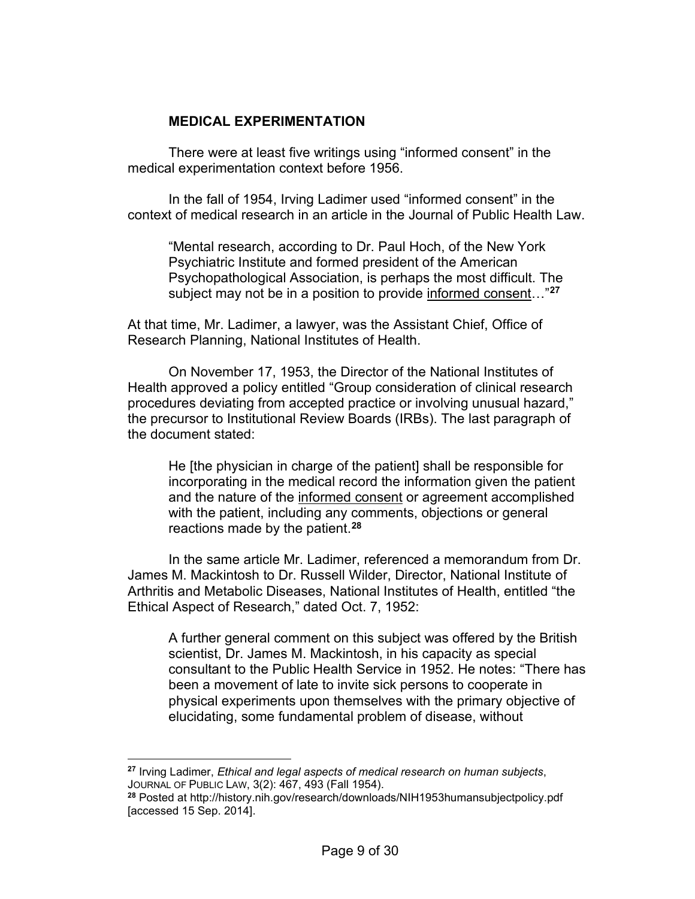### **MEDICAL EXPERIMENTATION**

There were at least five writings using "informed consent" in the medical experimentation context before 1956.

In the fall of 1954, Irving Ladimer used "informed consent" in the context of medical research in an article in the Journal of Public Health Law.

"Mental research, according to Dr. Paul Hoch, of the New York Psychiatric Institute and formed president of the American Psychopathological Association, is perhaps the most difficult. The subject may not be in a position to provide informed consent…"**[27](#page-8-0)**

At that time, Mr. Ladimer, a lawyer, was the Assistant Chief, Office of Research Planning, National Institutes of Health.

On November 17, 1953, the Director of the National Institutes of Health approved a policy entitled "Group consideration of clinical research procedures deviating from accepted practice or involving unusual hazard," the precursor to Institutional Review Boards (IRBs). The last paragraph of the document stated:

He [the physician in charge of the patient] shall be responsible for incorporating in the medical record the information given the patient and the nature of the informed consent or agreement accomplished with the patient, including any comments, objections or general reactions made by the patient.**[28](#page-8-1)**

In the same article Mr. Ladimer, referenced a memorandum from Dr. James M. Mackintosh to Dr. Russell Wilder, Director, National Institute of Arthritis and Metabolic Diseases, National Institutes of Health, entitled "the Ethical Aspect of Research," dated Oct. 7, 1952:

A further general comment on this subject was offered by the British scientist, Dr. James M. Mackintosh, in his capacity as special consultant to the Public Health Service in 1952. He notes: "There has been a movement of late to invite sick persons to cooperate in physical experiments upon themselves with the primary objective of elucidating, some fundamental problem of disease, without

<span id="page-8-0"></span>**<sup>27</sup>** Irving Ladimer, *Ethical and legal aspects of medical research on human subjects*, JOURNAL OF PUBLIC LAW, 3(2): 467, 493 (Fall 1954).

<span id="page-8-1"></span>**<sup>28</sup>** Posted at http://history.nih.gov/research/downloads/NIH1953humansubjectpolicy.pdf [accessed 15 Sep. 2014].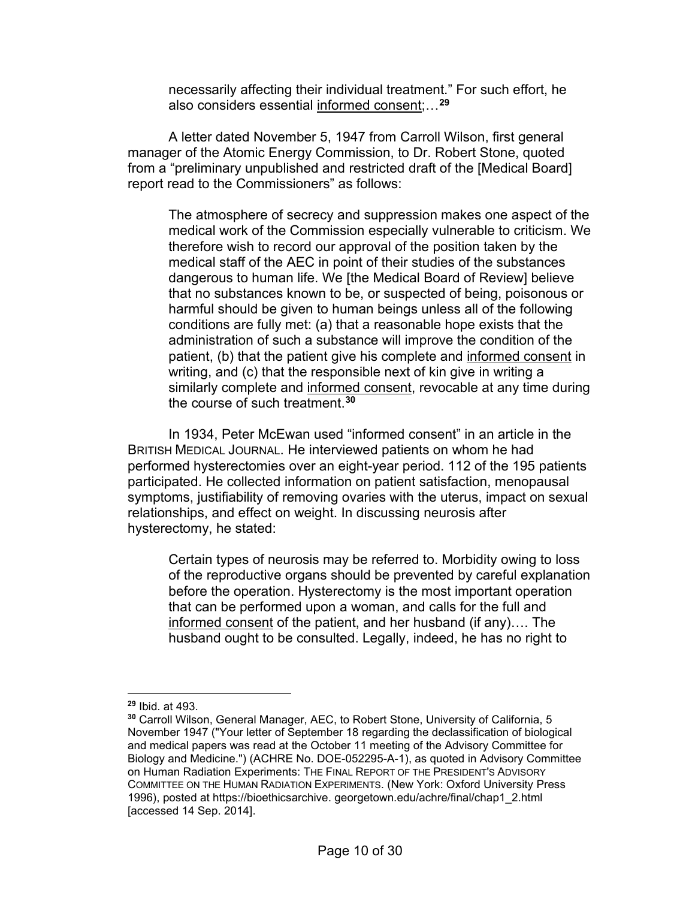necessarily affecting their individual treatment." For such effort, he also considers essential informed consent;…**[29](#page-9-0)**

A letter dated November 5, 1947 from Carroll Wilson, first general manager of the Atomic Energy Commission, to Dr. Robert Stone, quoted from a "preliminary unpublished and restricted draft of the [Medical Board] report read to the Commissioners" as follows:

The atmosphere of secrecy and suppression makes one aspect of the medical work of the Commission especially vulnerable to criticism. We therefore wish to record our approval of the position taken by the medical staff of the AEC in point of their studies of the substances dangerous to human life. We [the Medical Board of Review] believe that no substances known to be, or suspected of being, poisonous or harmful should be given to human beings unless all of the following conditions are fully met: (a) that a reasonable hope exists that the administration of such a substance will improve the condition of the patient, (b) that the patient give his complete and informed consent in writing, and (c) that the responsible next of kin give in writing a similarly complete and informed consent, revocable at any time during the course of such treatment.**[30](#page-9-1)**

In 1934, Peter McEwan used "informed consent" in an article in the BRITISH MEDICAL JOURNAL. He interviewed patients on whom he had performed hysterectomies over an eight-year period. 112 of the 195 patients participated. He collected information on patient satisfaction, menopausal symptoms, justifiability of removing ovaries with the uterus, impact on sexual relationships, and effect on weight. In discussing neurosis after hysterectomy, he stated:

Certain types of neurosis may be referred to. Morbidity owing to loss of the reproductive organs should be prevented by careful explanation before the operation. Hysterectomy is the most important operation that can be performed upon a woman, and calls for the full and informed consent of the patient, and her husband (if any)…. The husband ought to be consulted. Legally, indeed, he has no right to

<span id="page-9-0"></span>**<sup>29</sup>** Ibid. at 493.

<span id="page-9-1"></span>**<sup>30</sup>** Carroll Wilson, General Manager, AEC, to Robert Stone, University of California, 5 November 1947 ("Your letter of September 18 regarding the declassification of biological and medical papers was read at the October 11 meeting of the Advisory Committee for Biology and Medicine.") (ACHRE No. DOE-052295-A-1), as quoted in Advisory Committee on Human Radiation Experiments: THE FINAL REPORT OF THE PRESIDENT'S ADVISORY COMMITTEE ON THE HUMAN RADIATION EXPERIMENTS. (New York: Oxford University Press 1996), posted at https://bioethicsarchive. georgetown.edu/achre/final/chap1\_2.html [accessed 14 Sep. 2014].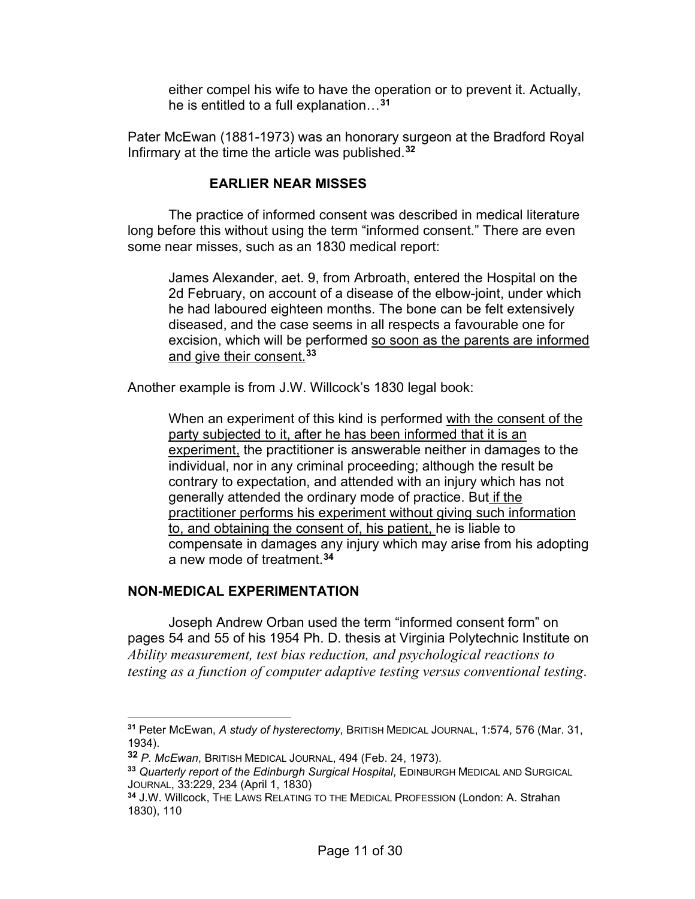either compel his wife to have the operation or to prevent it. Actually, he is entitled to a full explanation…**[31](#page-10-0)**

Pater McEwan (1881-1973) was an honorary surgeon at the Bradford Royal Infirmary at the time the article was published. **[32](#page-10-1)**

# **EARLIER NEAR MISSES**

The practice of informed consent was described in medical literature long before this without using the term "informed consent." There are even some near misses, such as an 1830 medical report:

James Alexander, aet. 9, from Arbroath, entered the Hospital on the 2d February, on account of a disease of the elbow-joint, under which he had laboured eighteen months. The bone can be felt extensively diseased, and the case seems in all respects a favourable one for excision, which will be performed so soon as the parents are informed and give their consent.**[33](#page-10-2)**

Another example is from J.W. Willcock's 1830 legal book:

When an experiment of this kind is performed with the consent of the party subjected to it, after he has been informed that it is an experiment, the practitioner is answerable neither in damages to the individual, nor in any criminal proceeding; although the result be contrary to expectation, and attended with an injury which has not generally attended the ordinary mode of practice. But if the practitioner performs his experiment without giving such information to, and obtaining the consent of, his patient, he is liable to compensate in damages any injury which may arise from his adopting a new mode of treatment.**[34](#page-10-3)**

### **NON-MEDICAL EXPERIMENTATION**

Joseph Andrew Orban used the term "informed consent form" on pages 54 and 55 of his 1954 Ph. D. thesis at Virginia Polytechnic Institute on *Ability measurement, test bias reduction, and psychological reactions to testing as a function of computer adaptive testing versus conventional testing*.

<span id="page-10-0"></span>**<sup>31</sup>** Peter McEwan, *A study of hysterectomy*, BRITISH MEDICAL JOURNAL, 1:574, 576 (Mar. 31, 1934).

<span id="page-10-1"></span>**<sup>32</sup>** *P. McEwan*, BRITISH MEDICAL JOURNAL, 494 (Feb. 24, 1973).

<span id="page-10-2"></span>**<sup>33</sup>** *Quarterly report of the Edinburgh Surgical Hospital*, EDINBURGH MEDICAL AND SURGICAL JOURNAL, 33:229, 234 (April 1, 1830)

<span id="page-10-3"></span>**<sup>34</sup>** J.W. Willcock, THE LAWS RELATING TO THE MEDICAL PROFESSION (London: A. Strahan 1830), 110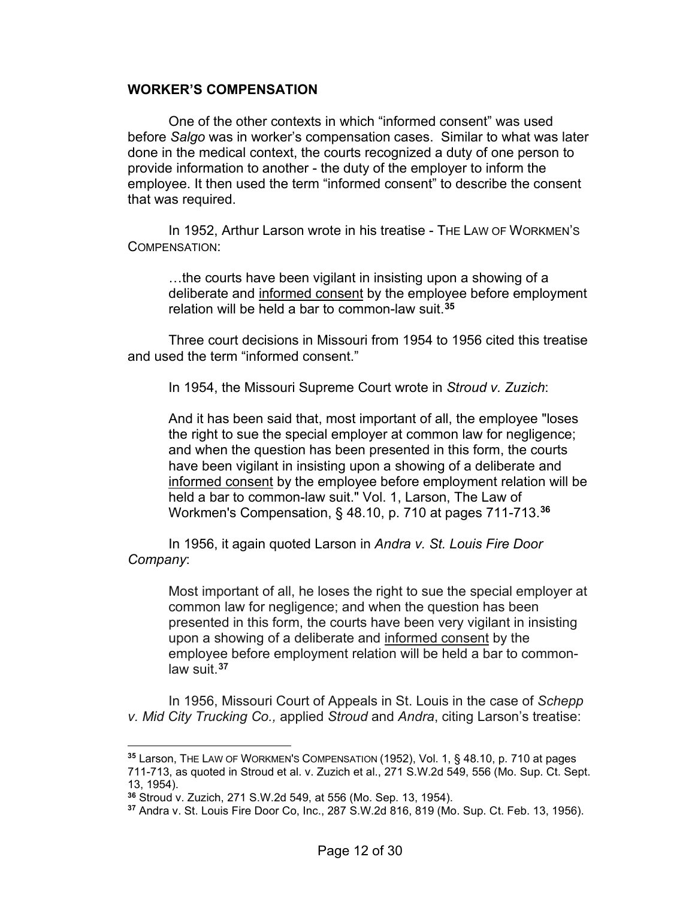#### **WORKER'S COMPENSATION**

One of the other contexts in which "informed consent" was used before *Salgo* was in worker's compensation cases. Similar to what was later done in the medical context, the courts recognized a duty of one person to provide information to another - the duty of the employer to inform the employee. It then used the term "informed consent" to describe the consent that was required.

In 1952, Arthur Larson wrote in his treatise - THE LAW OF WORKMEN'S COMPENSATION:

…the courts have been vigilant in insisting upon a showing of a deliberate and informed consent by the employee before employment relation will be held a bar to common-law suit.**[35](#page-11-0)**

Three court decisions in Missouri from 1954 to 1956 cited this treatise and used the term "informed consent."

In 1954, the Missouri Supreme Court wrote in *Stroud v. Zuzich*:

And it has been said that, most important of all, the employee "loses the right to sue the special employer at common law for negligence; and when the question has been presented in this form, the courts have been vigilant in insisting upon a showing of a deliberate and informed consent by the employee before employment relation will be held a bar to common-law suit." Vol. 1, Larson, The Law of Workmen's Compensation, § 48.10, p. 710 at pages 711-713.**[36](#page-11-1)**

In 1956, it again quoted Larson in *Andra v. St. Louis Fire Door Company*:

Most important of all, he loses the right to sue the special employer at common law for negligence; and when the question has been presented in this form, the courts have been very vigilant in insisting upon a showing of a deliberate and informed consent by the employee before employment relation will be held a bar to commonlaw suit.**[37](#page-11-2)**

In 1956, Missouri Court of Appeals in St. Louis in the case of *Schepp v. Mid City Trucking Co.,* applied *Stroud* and *Andra*, citing Larson's treatise:

<span id="page-11-0"></span>**<sup>35</sup>** Larson, THE LAW OF WORKMEN'S COMPENSATION (1952), Vol. 1, § 48.10, p. 710 at pages 711-713, as quoted in Stroud et al. v. Zuzich et al., 271 S.W.2d 549, 556 (Mo. Sup. Ct. Sept. 13, 1954).

<span id="page-11-1"></span>**<sup>36</sup>** Stroud v. Zuzich, 271 S.W.2d 549, at 556 (Mo. Sep. 13, 1954).

<span id="page-11-2"></span>**<sup>37</sup>** Andra v. St. Louis Fire Door Co, Inc., 287 S.W.2d 816, 819 (Mo. Sup. Ct. Feb. 13, 1956).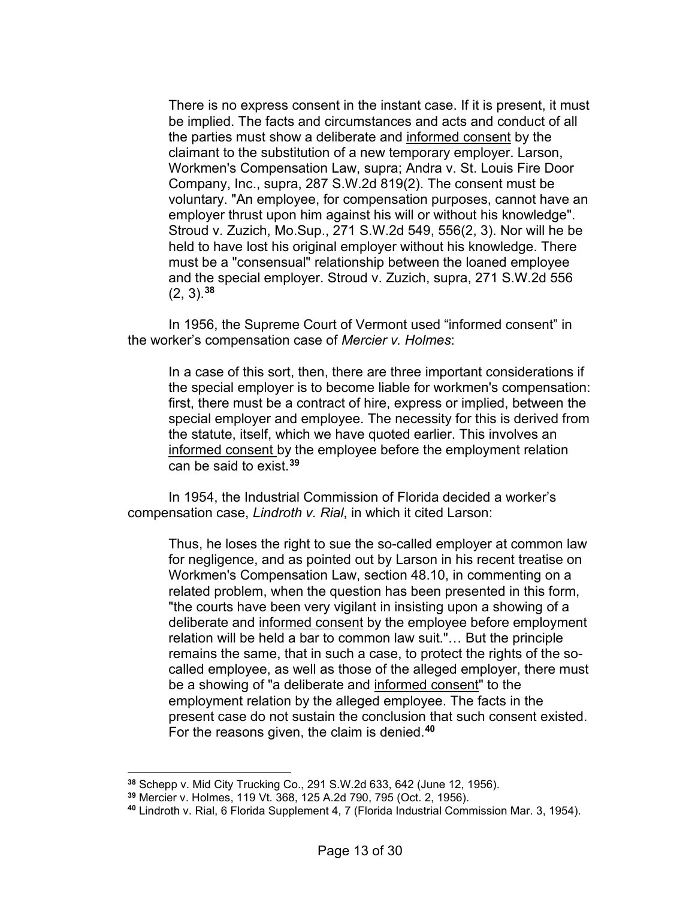There is no express consent in the instant case. If it is present, it must be implied. The facts and circumstances and acts and conduct of all the parties must show a deliberate and informed consent by the claimant to the substitution of a new temporary employer. Larson, Workmen's Compensation Law, supra; Andra v. St. Louis Fire Door Company, Inc., supra, 287 S.W.2d 819(2). The consent must be voluntary. "An employee, for compensation purposes, cannot have an employer thrust upon him against his will or without his knowledge". Stroud v. Zuzich, Mo.Sup., 271 S.W.2d 549, 556(2, 3). Nor will he be held to have lost his original employer without his knowledge. There must be a "consensual" relationship between the loaned employee and the special employer. Stroud v. Zuzich, supra, 271 S.W.2d 556 (2, 3).**[38](#page-12-0)**

In 1956, the Supreme Court of Vermont used "informed consent" in the worker's compensation case of *Mercier v. Holmes*:

In a case of this sort, then, there are three important considerations if the special employer is to become liable for workmen's compensation: first, there must be a contract of hire, express or implied, between the special employer and employee. The necessity for this is derived from the statute, itself, which we have quoted earlier. This involves an informed consent by the employee before the employment relation can be said to exist.**[39](#page-12-1)**

In 1954, the Industrial Commission of Florida decided a worker's compensation case, *Lindroth v. Rial*, in which it cited Larson:

Thus, he loses the right to sue the so-called employer at common law for negligence, and as pointed out by Larson in his recent treatise on Workmen's Compensation Law, section 48.10, in commenting on a related problem, when the question has been presented in this form, "the courts have been very vigilant in insisting upon a showing of a deliberate and informed consent by the employee before employment relation will be held a bar to common law suit."… But the principle remains the same, that in such a case, to protect the rights of the socalled employee, as well as those of the alleged employer, there must be a showing of "a deliberate and informed consent" to the employment relation by the alleged employee. The facts in the present case do not sustain the conclusion that such consent existed. For the reasons given, the claim is denied.**[40](#page-12-2)**

<span id="page-12-0"></span>**<sup>38</sup>** Schepp v. Mid City Trucking Co., 291 S.W.2d 633, 642 (June 12, 1956).

<span id="page-12-1"></span>**<sup>39</sup>** Mercier v. Holmes, 119 Vt. 368, 125 A.2d 790, 795 (Oct. 2, 1956).

<span id="page-12-2"></span>**<sup>40</sup>** Lindroth v. Rial, 6 Florida Supplement 4, 7 (Florida Industrial Commission Mar. 3, 1954).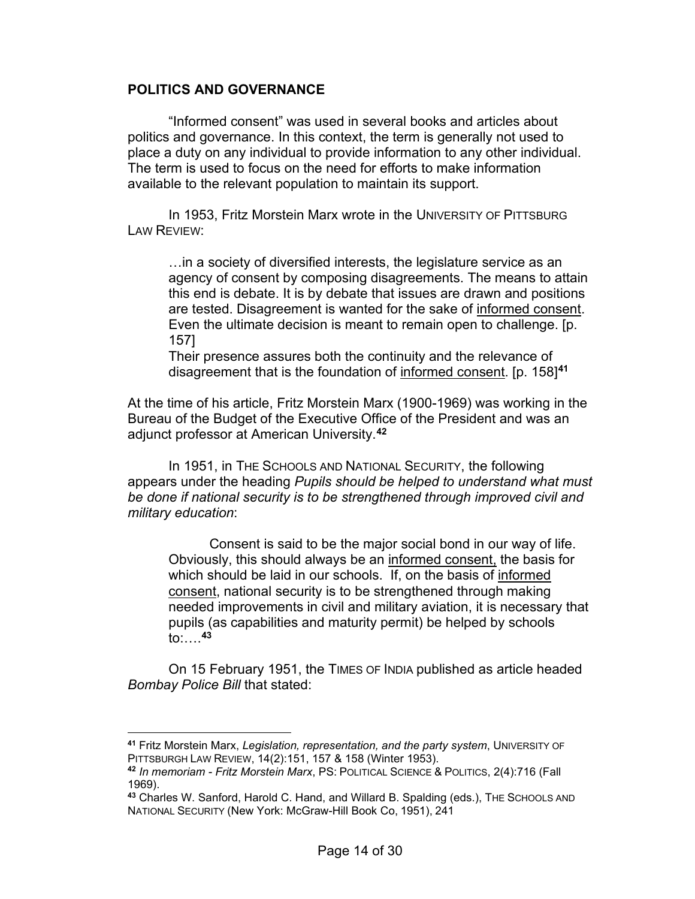### **POLITICS AND GOVERNANCE**

"Informed consent" was used in several books and articles about politics and governance. In this context, the term is generally not used to place a duty on any individual to provide information to any other individual. The term is used to focus on the need for efforts to make information available to the relevant population to maintain its support.

In 1953, Fritz Morstein Marx wrote in the UNIVERSITY OF PITTSBURG LAW REVIEW:

…in a society of diversified interests, the legislature service as an agency of consent by composing disagreements. The means to attain this end is debate. It is by debate that issues are drawn and positions are tested. Disagreement is wanted for the sake of informed consent. Even the ultimate decision is meant to remain open to challenge. [p. 157]

Their presence assures both the continuity and the relevance of disagreement that is the foundation of informed consent. [p. 158]**[41](#page-13-0)**

At the time of his article, Fritz Morstein Marx (1900-1969) was working in the Bureau of the Budget of the Executive Office of the President and was an adjunct professor at American University.**[42](#page-13-1)**

In 1951, in THE SCHOOLS AND NATIONAL SECURITY, the following appears under the heading *Pupils should be helped to understand what must be done if national security is to be strengthened through improved civil and military education*:

Consent is said to be the major social bond in our way of life. Obviously, this should always be an informed consent, the basis for which should be laid in our schools. If, on the basis of informed consent, national security is to be strengthened through making needed improvements in civil and military aviation, it is necessary that pupils (as capabilities and maturity permit) be helped by schools to:….**[43](#page-13-2)**

On 15 February 1951, the TIMES OF INDIA published as article headed *Bombay Police Bill* that stated:

<span id="page-13-0"></span>**<sup>41</sup>** Fritz Morstein Marx, *Legislation, representation, and the party system*, UNIVERSITY OF PITTSBURGH LAW REVIEW, 14(2):151, 157 & 158 (Winter 1953).

<span id="page-13-1"></span>**<sup>42</sup>** *In memoriam - Fritz Morstein Marx*, PS: POLITICAL SCIENCE & POLITICS, 2(4):716 (Fall 1969).

<span id="page-13-2"></span>**<sup>43</sup>** Charles W. Sanford, Harold C. Hand, and Willard B. Spalding (eds.), THE SCHOOLS AND NATIONAL SECURITY (New York: McGraw-Hill Book Co, 1951), 241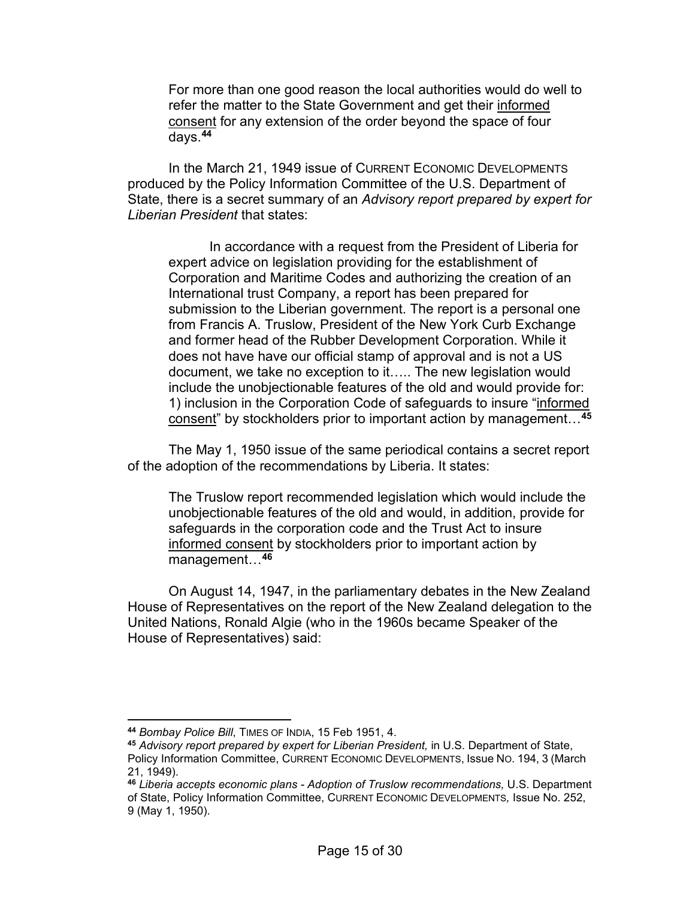For more than one good reason the local authorities would do well to refer the matter to the State Government and get their informed consent for any extension of the order beyond the space of four days.**[44](#page-14-0)**

In the March 21, 1949 issue of CURRENT ECONOMIC DEVELOPMENTS produced by the Policy Information Committee of the U.S. Department of State, there is a secret summary of an *Advisory report prepared by expert for Liberian President* that states:

In accordance with a request from the President of Liberia for expert advice on legislation providing for the establishment of Corporation and Maritime Codes and authorizing the creation of an International trust Company, a report has been prepared for submission to the Liberian government. The report is a personal one from Francis A. Truslow, President of the New York Curb Exchange and former head of the Rubber Development Corporation. While it does not have have our official stamp of approval and is not a US document, we take no exception to it….. The new legislation would include the unobjectionable features of the old and would provide for: 1) inclusion in the Corporation Code of safeguards to insure "informed consent" by stockholders prior to important action by management…**[45](#page-14-1)**

The May 1, 1950 issue of the same periodical contains a secret report of the adoption of the recommendations by Liberia. It states:

The Truslow report recommended legislation which would include the unobjectionable features of the old and would, in addition, provide for safeguards in the corporation code and the Trust Act to insure informed consent by stockholders prior to important action by management…**[46](#page-14-2)**

On August 14, 1947, in the parliamentary debates in the New Zealand House of Representatives on the report of the New Zealand delegation to the United Nations, Ronald Algie (who in the 1960s became Speaker of the House of Representatives) said:

<span id="page-14-0"></span>**<sup>44</sup>** *Bombay Police Bill*, TIMES OF INDIA, 15 Feb 1951, 4.

<span id="page-14-1"></span>**<sup>45</sup>** *Advisory report prepared by expert for Liberian President,* in U.S. Department of State, Policy Information Committee, CURRENT ECONOMIC DEVELOPMENTS, Issue NO. 194, 3 (March 21, 1949).

<span id="page-14-2"></span>**<sup>46</sup>** *Liberia accepts economic plans - Adoption of Truslow recommendations,* U.S. Department of State, Policy Information Committee, CURRENT ECONOMIC DEVELOPMENTS*,* Issue No. 252, 9 (May 1, 1950).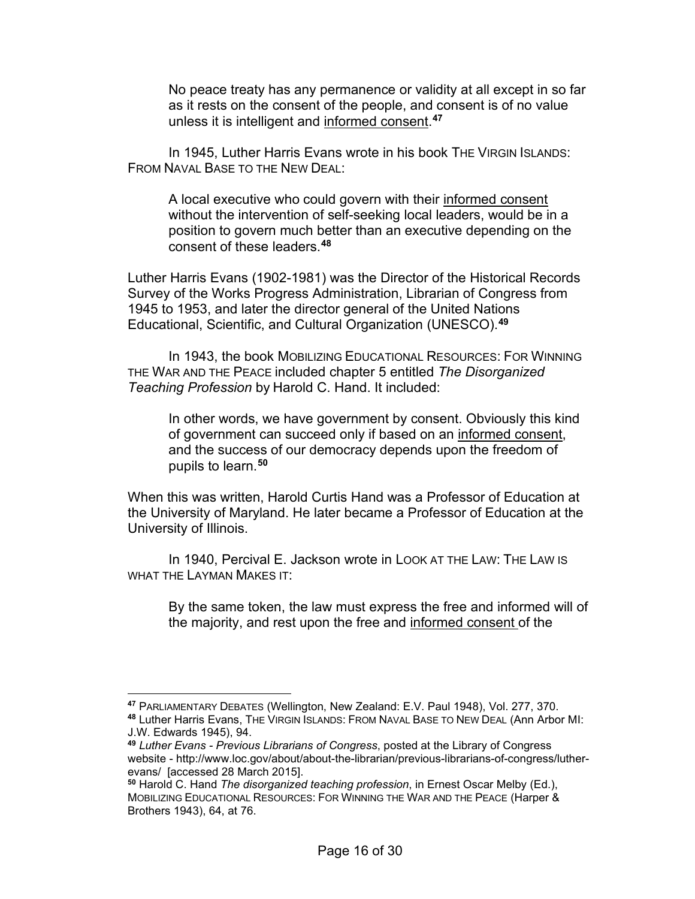No peace treaty has any permanence or validity at all except in so far as it rests on the consent of the people, and consent is of no value unless it is intelligent and informed consent. **[47](#page-15-0)**

In 1945, Luther Harris Evans wrote in his book THE VIRGIN ISLANDS: FROM NAVAL BASE TO THE NEW DEAL:

A local executive who could govern with their informed consent without the intervention of self-seeking local leaders, would be in a position to govern much better than an executive depending on the consent of these leaders.**[48](#page-15-1)**

Luther Harris Evans (1902-1981) was the Director of the Historical Records Survey of the Works Progress Administration, Librarian of Congress from 1945 to 1953, and later the director general of the United Nations Educational, Scientific, and Cultural Organization (UNESCO).**[49](#page-15-2)**

In 1943, the book MOBILIZING EDUCATIONAL RESOURCES: FOR WINNING THE WAR AND THE PEACE included chapter 5 entitled *The Disorganized Teaching Profession* by Harold C. Hand. It included:

In other words, we have government by consent. Obviously this kind of government can succeed only if based on an informed consent, and the success of our democracy depends upon the freedom of pupils to learn.**[50](#page-15-3)**

When this was written, Harold Curtis Hand was a Professor of Education at the University of Maryland. He later became a Professor of Education at the University of Illinois.

In 1940, Percival E. Jackson wrote in LOOK AT THE LAW: THE LAW IS WHAT THE LAYMAN MAKES IT:

By the same token, the law must express the free and informed will of the majority, and rest upon the free and informed consent of the

<span id="page-15-0"></span>**<sup>47</sup>** PARLIAMENTARY DEBATES (Wellington, New Zealand: E.V. Paul 1948), Vol. 277, 370.

<span id="page-15-1"></span>**<sup>48</sup>** Luther Harris Evans, THE VIRGIN ISLANDS: FROM NAVAL BASE TO NEW DEAL (Ann Arbor MI: J.W. Edwards 1945), 94.

<span id="page-15-2"></span>**<sup>49</sup>** *Luther Evans - Previous Librarians of Congress*, posted at the Library of Congress website - http://www.loc.gov/about/about-the-librarian/previous-librarians-of-congress/lutherevans/ [accessed 28 March 2015].

<span id="page-15-3"></span>**<sup>50</sup>** Harold C. Hand *The disorganized teaching profession*, in Ernest Oscar Melby (Ed.), MOBILIZING EDUCATIONAL RESOURCES: FOR WINNING THE WAR AND THE PEACE (Harper & Brothers 1943), 64, at 76.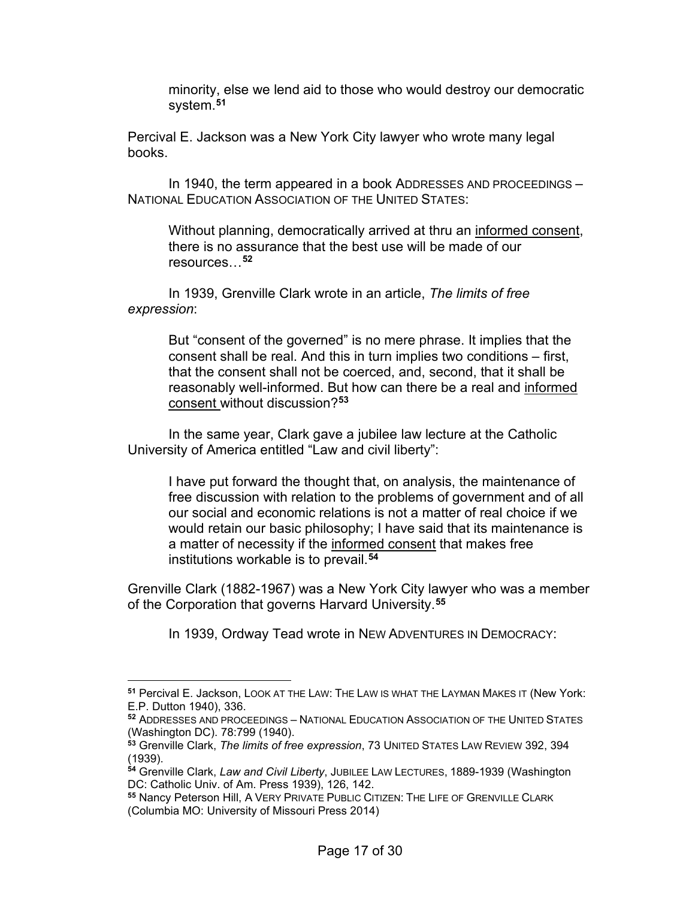minority, else we lend aid to those who would destroy our democratic system.**[51](#page-16-0)**

Percival E. Jackson was a New York City lawyer who wrote many legal books.

In 1940, the term appeared in a book ADDRESSES AND PROCEEDINGS – NATIONAL EDUCATION ASSOCIATION OF THE UNITED STATES:

Without planning, democratically arrived at thru an informed consent, there is no assurance that the best use will be made of our resources…**[52](#page-16-1)**

In 1939, Grenville Clark wrote in an article, *The limits of free expression*:

> But "consent of the governed" is no mere phrase. It implies that the consent shall be real. And this in turn implies two conditions – first, that the consent shall not be coerced, and, second, that it shall be reasonably well-informed. But how can there be a real and informed consent without discussion?**[53](#page-16-2)**

In the same year, Clark gave a jubilee law lecture at the Catholic University of America entitled "Law and civil liberty":

I have put forward the thought that, on analysis, the maintenance of free discussion with relation to the problems of government and of all our social and economic relations is not a matter of real choice if we would retain our basic philosophy; I have said that its maintenance is a matter of necessity if the informed consent that makes free institutions workable is to prevail.**[54](#page-16-3)**

Grenville Clark (1882-1967) was a New York City lawyer who was a member of the Corporation that governs Harvard University.**[55](#page-16-4)**

In 1939, Ordway Tead wrote in NEW ADVENTURES IN DEMOCRACY:

<span id="page-16-0"></span>**<sup>51</sup>** Percival E. Jackson, LOOK AT THE LAW: THE LAW IS WHAT THE LAYMAN MAKES IT (New York: E.P. Dutton 1940), 336.

<span id="page-16-1"></span>**<sup>52</sup>** ADDRESSES AND PROCEEDINGS – NATIONAL EDUCATION ASSOCIATION OF THE UNITED STATES (Washington DC). 78:799 (1940).

<span id="page-16-2"></span>**<sup>53</sup>** Grenville Clark, *The limits of free expression*, 73 UNITED STATES LAW REVIEW 392, 394 (1939).

<span id="page-16-3"></span>**<sup>54</sup>** Grenville Clark, *Law and Civil Liberty*, JUBILEE LAW LECTURES, 1889-1939 (Washington DC: Catholic Univ. of Am. Press 1939), 126, 142.

<span id="page-16-4"></span>**<sup>55</sup>** Nancy Peterson Hill, A VERY PRIVATE PUBLIC CITIZEN: THE LIFE OF GRENVILLE CLARK (Columbia MO: University of Missouri Press 2014)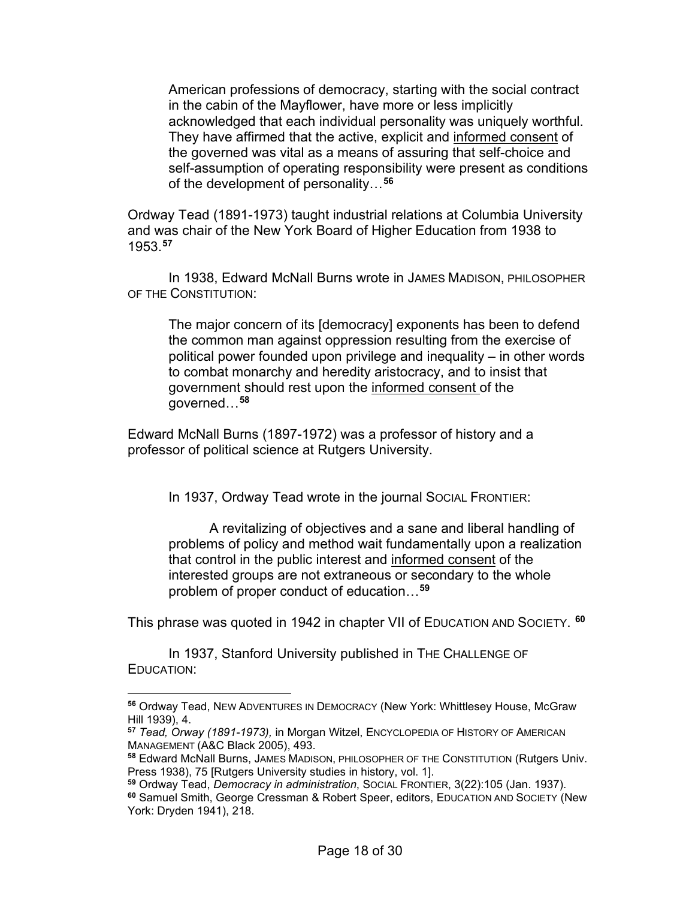American professions of democracy, starting with the social contract in the cabin of the Mayflower, have more or less implicitly acknowledged that each individual personality was uniquely worthful. They have affirmed that the active, explicit and informed consent of the governed was vital as a means of assuring that self-choice and self-assumption of operating responsibility were present as conditions of the development of personality…**[56](#page-17-0)**

Ordway Tead (1891-1973) taught industrial relations at Columbia University and was chair of the New York Board of Higher Education from 1938 to 1953.**[57](#page-17-1)**

In 1938, Edward McNall Burns wrote in JAMES MADISON, PHILOSOPHER OF THE CONSTITUTION:

The major concern of its [democracy] exponents has been to defend the common man against oppression resulting from the exercise of political power founded upon privilege and inequality – in other words to combat monarchy and heredity aristocracy, and to insist that government should rest upon the informed consent of the governed…**[58](#page-17-2)**

Edward McNall Burns (1897-1972) was a professor of history and a professor of political science at Rutgers University.

In 1937, Ordway Tead wrote in the journal Social FRONTIER:

A revitalizing of objectives and a sane and liberal handling of problems of policy and method wait fundamentally upon a realization that control in the public interest and informed consent of the interested groups are not extraneous or secondary to the whole problem of proper conduct of education…**[59](#page-17-3)**

This phrase was quoted in 1942 in chapter VII of EDUCATION AND SOCIETY. **[60](#page-17-4)**

In 1937, Stanford University published in THE CHALLENGE OF EDUCATION:

<span id="page-17-0"></span>**<sup>56</sup>** Ordway Tead, NEW ADVENTURES IN DEMOCRACY (New York: Whittlesey House, McGraw Hill 1939), 4.

<span id="page-17-1"></span>**<sup>57</sup>** *Tead, Orway (1891-1973),* in Morgan Witzel, ENCYCLOPEDIA OF HISTORY OF AMERICAN MANAGEMENT (A&C Black 2005), 493.

<span id="page-17-2"></span>**<sup>58</sup>** Edward McNall Burns, JAMES MADISON, PHILOSOPHER OF THE CONSTITUTION (Rutgers Univ. Press 1938), 75 [Rutgers University studies in history, vol. 1].

<span id="page-17-4"></span><span id="page-17-3"></span>**<sup>59</sup>** Ordway Tead, *Democracy in administration*, SOCIAL FRONTIER, 3(22):105 (Jan. 1937). **<sup>60</sup>** Samuel Smith, George Cressman & Robert Speer, editors, EDUCATION AND SOCIETY (New York: Dryden 1941), 218.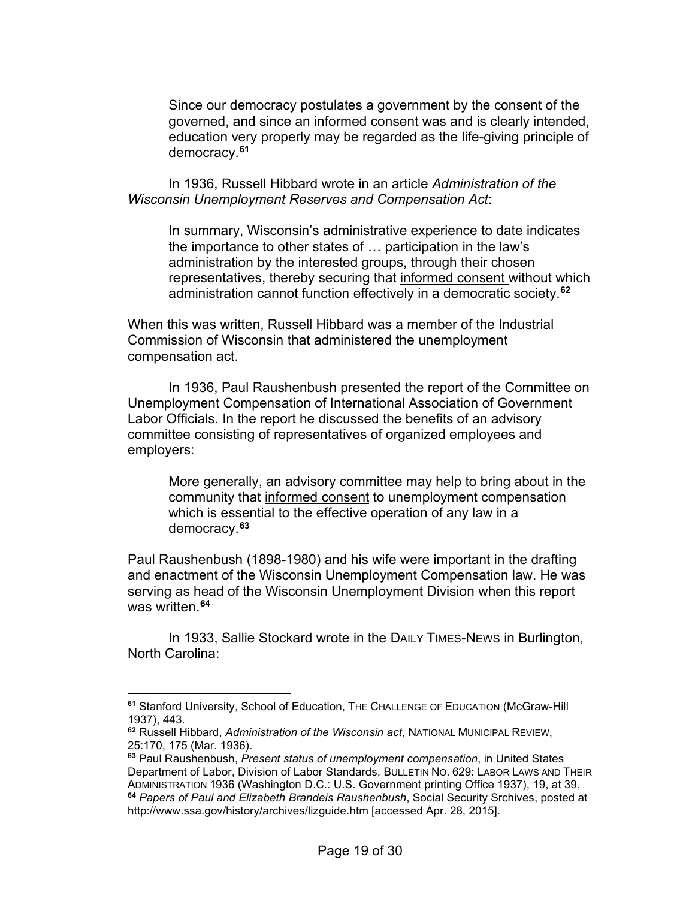Since our democracy postulates a government by the consent of the governed, and since an informed consent was and is clearly intended, education very properly may be regarded as the life-giving principle of democracy.**[61](#page-18-0)**

In 1936, Russell Hibbard wrote in an article *Administration of the Wisconsin Unemployment Reserves and Compensation Act*:

In summary, Wisconsin's administrative experience to date indicates the importance to other states of … participation in the law's administration by the interested groups, through their chosen representatives, thereby securing that informed consent without which administration cannot function effectively in a democratic society.**[62](#page-18-1)**

When this was written, Russell Hibbard was a member of the Industrial Commission of Wisconsin that administered the unemployment compensation act.

In 1936, Paul Raushenbush presented the report of the Committee on Unemployment Compensation of International Association of Government Labor Officials. In the report he discussed the benefits of an advisory committee consisting of representatives of organized employees and employers:

More generally, an advisory committee may help to bring about in the community that informed consent to unemployment compensation which is essential to the effective operation of any law in a democracy.**[63](#page-18-2)**

Paul Raushenbush (1898-1980) and his wife were important in the drafting and enactment of the Wisconsin Unemployment Compensation law. He was serving as head of the Wisconsin Unemployment Division when this report was written.**[64](#page-18-3)**

In 1933, Sallie Stockard wrote in the DAILY TIMES-NEWS in Burlington, North Carolina:

<span id="page-18-0"></span>**<sup>61</sup>** Stanford University, School of Education, THE CHALLENGE OF EDUCATION (McGraw-Hill 1937), 443.

<span id="page-18-1"></span>**<sup>62</sup>** Russell Hibbard, *Administration of the Wisconsin act*, NATIONAL MUNICIPAL REVIEW, 25:170, 175 (Mar. 1936).

<span id="page-18-3"></span><span id="page-18-2"></span>**<sup>63</sup>** Paul Raushenbush, *Present status of unemployment compensation*, in United States Department of Labor, Division of Labor Standards, BULLETIN NO. 629: LABOR LAWS AND THEIR ADMINISTRATION 1936 (Washington D.C.: U.S. Government printing Office 1937), 19, at 39. **<sup>64</sup>** *Papers of Paul and Elizabeth Brandeis Raushenbush*, Social Security Srchives, posted at http://www.ssa.gov/history/archives/lizguide.htm [accessed Apr. 28, 2015].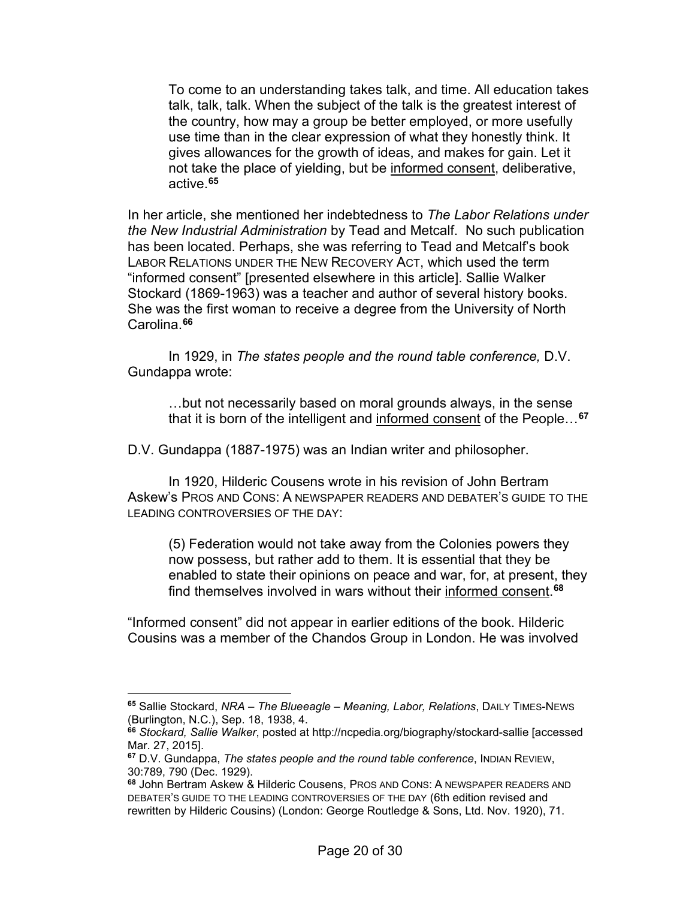To come to an understanding takes talk, and time. All education takes talk, talk, talk. When the subject of the talk is the greatest interest of the country, how may a group be better employed, or more usefully use time than in the clear expression of what they honestly think. It gives allowances for the growth of ideas, and makes for gain. Let it not take the place of yielding, but be informed consent, deliberative, active. **[65](#page-19-0)**

In her article, she mentioned her indebtedness to *The Labor Relations under the New Industrial Administration* by Tead and Metcalf. No such publication has been located. Perhaps, she was referring to Tead and Metcalf's book LABOR RELATIONS UNDER THE NEW RECOVERY ACT, which used the term "informed consent" [presented elsewhere in this article]. Sallie Walker Stockard (1869-1963) was a teacher and author of several history books. She was the first woman to receive a degree from the University of North Carolina.**[66](#page-19-1)**

In 1929, in *The states people and the round table conference,* D.V. Gundappa wrote:

…but not necessarily based on moral grounds always, in the sense that it is born of the intelligent and informed consent of the People…**[67](#page-19-2)**

D.V. Gundappa (1887-1975) was an Indian writer and philosopher.

In 1920, Hilderic Cousens wrote in his revision of John Bertram Askew's PROS AND CONS: A NEWSPAPER READERS AND DEBATER'S GUIDE TO THE LEADING CONTROVERSIES OF THE DAY:

(5) Federation would not take away from the Colonies powers they now possess, but rather add to them. It is essential that they be enabled to state their opinions on peace and war, for, at present, they find themselves involved in wars without their informed consent. **[68](#page-19-3)**

"Informed consent" did not appear in earlier editions of the book. Hilderic Cousins was a member of the Chandos Group in London. He was involved

<span id="page-19-0"></span>**<sup>65</sup>** Sallie Stockard, *NRA – The Blueeagle – Meaning, Labor, Relations*, DAILY TIMES-NEWS (Burlington, N.C.), Sep. 18, 1938, 4.

<span id="page-19-1"></span>**<sup>66</sup>** *Stockard, Sallie Walker*, posted at http://ncpedia.org/biography/stockard-sallie [accessed Mar. 27, 2015].

<span id="page-19-2"></span>**<sup>67</sup>** D.V. Gundappa, *The states people and the round table conference*, INDIAN REVIEW, 30:789, 790 (Dec. 1929).

<span id="page-19-3"></span>**<sup>68</sup>** John Bertram Askew & Hilderic Cousens, PROS AND CONS: A NEWSPAPER READERS AND DEBATER'S GUIDE TO THE LEADING CONTROVERSIES OF THE DAY (6th edition revised and rewritten by Hilderic Cousins) (London: George Routledge & Sons, Ltd. Nov. 1920), 71.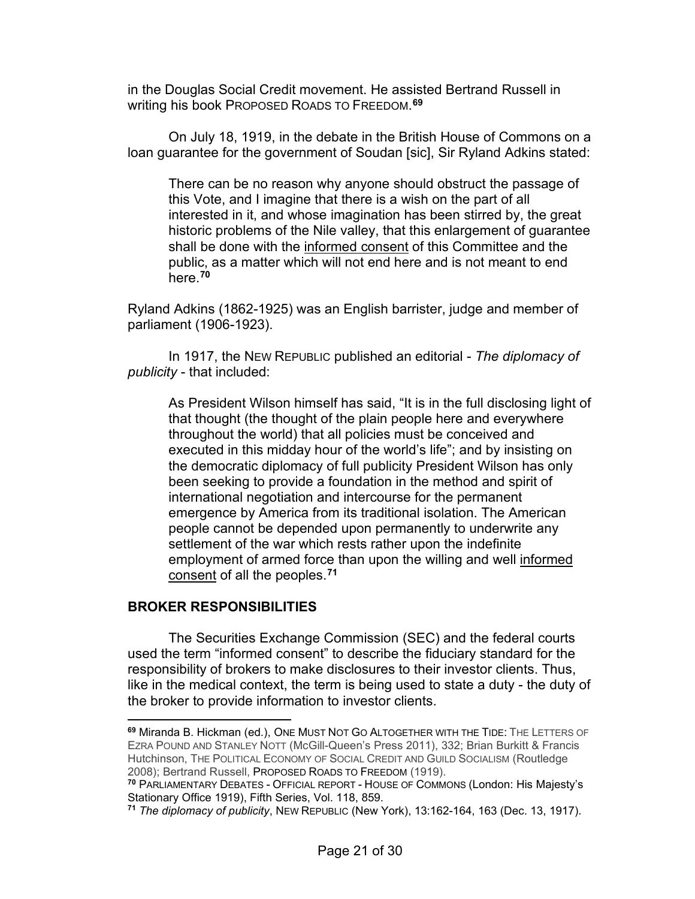in the Douglas Social Credit movement. He assisted Bertrand Russell in writing his book PROPOSED ROADS TO FREEDOM. **[69](#page-20-0)**

On July 18, 1919, in the debate in the British House of Commons on a loan guarantee for the government of Soudan [sic], Sir Ryland Adkins stated:

There can be no reason why anyone should obstruct the passage of this Vote, and I imagine that there is a wish on the part of all interested in it, and whose imagination has been stirred by, the great historic problems of the Nile valley, that this enlargement of guarantee shall be done with the informed consent of this Committee and the public, as a matter which will not end here and is not meant to end here.**[70](#page-20-1)**

Ryland Adkins (1862-1925) was an English barrister, judge and member of parliament (1906-1923).

In 1917, the NEW REPUBLIC published an editorial - *The diplomacy of publicity* - that included:

As President Wilson himself has said, "It is in the full disclosing light of that thought (the thought of the plain people here and everywhere throughout the world) that all policies must be conceived and executed in this midday hour of the world's life"; and by insisting on the democratic diplomacy of full publicity President Wilson has only been seeking to provide a foundation in the method and spirit of international negotiation and intercourse for the permanent emergence by America from its traditional isolation. The American people cannot be depended upon permanently to underwrite any settlement of the war which rests rather upon the indefinite employment of armed force than upon the willing and well informed consent of all the peoples.**[71](#page-20-2)**

### **BROKER RESPONSIBILITIES**

The Securities Exchange Commission (SEC) and the federal courts used the term "informed consent" to describe the fiduciary standard for the responsibility of brokers to make disclosures to their investor clients. Thus, like in the medical context, the term is being used to state a duty - the duty of the broker to provide information to investor clients.

<span id="page-20-0"></span>**<sup>69</sup>** Miranda B. Hickman (ed.), ONE MUST NOT GO ALTOGETHER WITH THE TIDE: THE LETTERS OF EZRA POUND AND STANLEY NOTT (McGill-Queen's Press 2011), 332; Brian Burkitt & Francis Hutchinson, THE POLITICAL ECONOMY OF SOCIAL CREDIT AND GUILD SOCIALISM (Routledge 2008); Bertrand Russell, PROPOSED ROADS TO FREEDOM (1919).

<span id="page-20-1"></span>**<sup>70</sup>** PARLIAMENTARY DEBATES - OFFICIAL REPORT - HOUSE OF COMMONS (London: His Majesty's Stationary Office 1919), Fifth Series, Vol. 118, 859.

<span id="page-20-2"></span>**<sup>71</sup>** *The diplomacy of publicity*, NEW REPUBLIC (New York), 13:162-164, 163 (Dec. 13, 1917).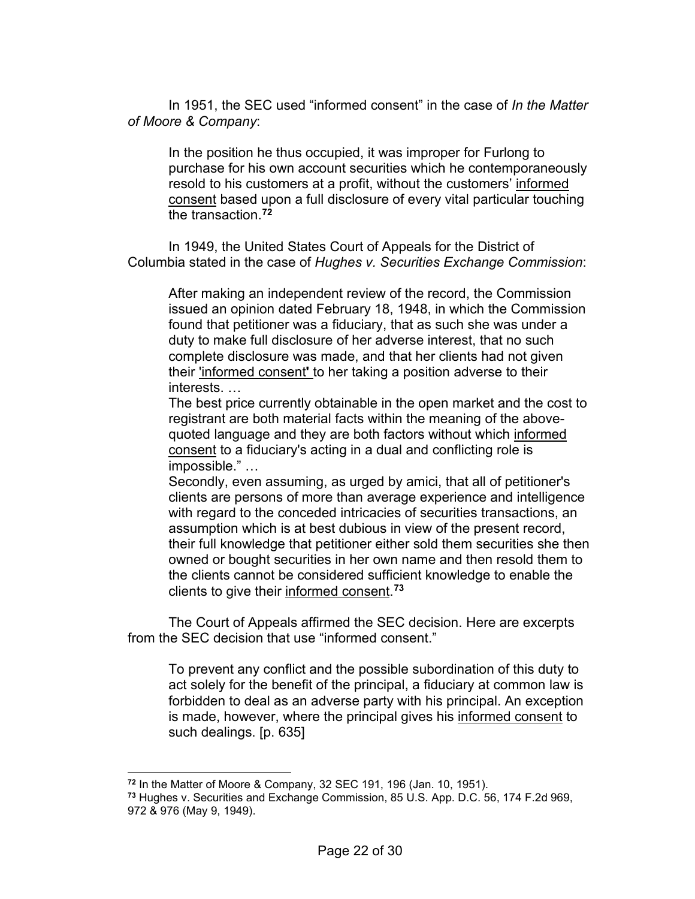In 1951, the SEC used "informed consent" in the case of *In the Matter of Moore & Company*:

In the position he thus occupied, it was improper for Furlong to purchase for his own account securities which he contemporaneously resold to his customers at a profit, without the customers' informed consent based upon a full disclosure of every vital particular touching the transaction.**[72](#page-21-0)**

In 1949, the United States Court of Appeals for the District of Columbia stated in the case of *Hughes v. Securities Exchange Commission*:

After making an independent review of the record, the Commission issued an opinion dated February 18, 1948, in which the Commission found that petitioner was a fiduciary, that as such she was under a duty to make full disclosure of her adverse interest, that no such complete disclosure was made, and that her clients had not given their 'informed consent**'** to her taking a position adverse to their interests. …

The best price currently obtainable in the open market and the cost to registrant are both material facts within the meaning of the abovequoted language and they are both factors without which informed consent to a fiduciary's acting in a dual and conflicting role is impossible." …

Secondly, even assuming, as urged by amici, that all of petitioner's clients are persons of more than average experience and intelligence with regard to the conceded intricacies of securities transactions, an assumption which is at best dubious in view of the present record, their full knowledge that petitioner either sold them securities she then owned or bought securities in her own name and then resold them to the clients cannot be considered sufficient knowledge to enable the clients to give their informed consent. **[73](#page-21-1)**

The Court of Appeals affirmed the SEC decision. Here are excerpts from the SEC decision that use "informed consent."

To prevent any conflict and the possible subordination of this duty to act solely for the benefit of the principal, a fiduciary at common law is forbidden to deal as an adverse party with his principal. An exception is made, however, where the principal gives his informed consent to such dealings. [p. 635]

**<sup>72</sup>** In the Matter of Moore & Company, 32 SEC 191, 196 (Jan. 10, 1951).

<span id="page-21-1"></span><span id="page-21-0"></span>**<sup>73</sup>** Hughes v. Securities and Exchange Commission, 85 U.S. App. D.C. 56, 174 F.2d 969, 972 & 976 (May 9, 1949).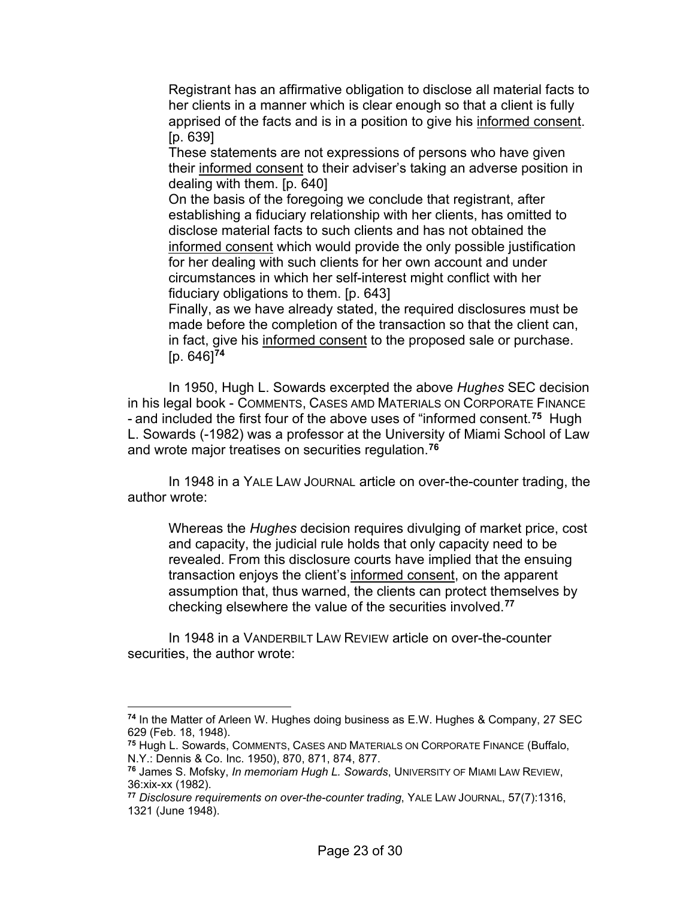Registrant has an affirmative obligation to disclose all material facts to her clients in a manner which is clear enough so that a client is fully apprised of the facts and is in a position to give his informed consent. [p. 639]

These statements are not expressions of persons who have given their informed consent to their adviser's taking an adverse position in dealing with them. [p. 640]

On the basis of the foregoing we conclude that registrant, after establishing a fiduciary relationship with her clients, has omitted to disclose material facts to such clients and has not obtained the informed consent which would provide the only possible justification for her dealing with such clients for her own account and under circumstances in which her self-interest might conflict with her fiduciary obligations to them. [p. 643]

Finally, as we have already stated, the required disclosures must be made before the completion of the transaction so that the client can, in fact, give his informed consent to the proposed sale or purchase. [p. 646]**[74](#page-22-0)**

In 1950, Hugh L. Sowards excerpted the above *Hughes* SEC decision in his legal book - COMMENTS, CASES AMD MATERIALS ON CORPORATE FINANCE - and included the first four of the above uses of "informed consent.**[75](#page-22-1)** Hugh L. Sowards (-1982) was a professor at the University of Miami School of Law and wrote major treatises on securities regulation.**[76](#page-22-2)**

In 1948 in a YALE LAW JOURNAL article on over-the-counter trading, the author wrote:

Whereas the *Hughes* decision requires divulging of market price, cost and capacity, the judicial rule holds that only capacity need to be revealed. From this disclosure courts have implied that the ensuing transaction enjoys the client's informed consent, on the apparent assumption that, thus warned, the clients can protect themselves by checking elsewhere the value of the securities involved.**[77](#page-22-3)**

In 1948 in a VANDERBILT LAW REVIEW article on over-the-counter securities, the author wrote:

<span id="page-22-0"></span>**<sup>74</sup>** In the Matter of Arleen W. Hughes doing business as E.W. Hughes & Company, 27 SEC 629 (Feb. 18, 1948).

<span id="page-22-1"></span>**<sup>75</sup>** Hugh L. Sowards, COMMENTS, CASES AND MATERIALS ON CORPORATE FINANCE (Buffalo, N.Y.: Dennis & Co. Inc. 1950), 870, 871, 874, 877.

<span id="page-22-2"></span>**<sup>76</sup>** James S. Mofsky, *In memoriam Hugh L. Sowards*, UNIVERSITY OF MIAMI LAW REVIEW, 36:xix-xx (1982).

<span id="page-22-3"></span>**<sup>77</sup>** *Disclosure requirements on over-the-counter trading*, YALE LAW JOURNAL, 57(7):1316, 1321 (June 1948).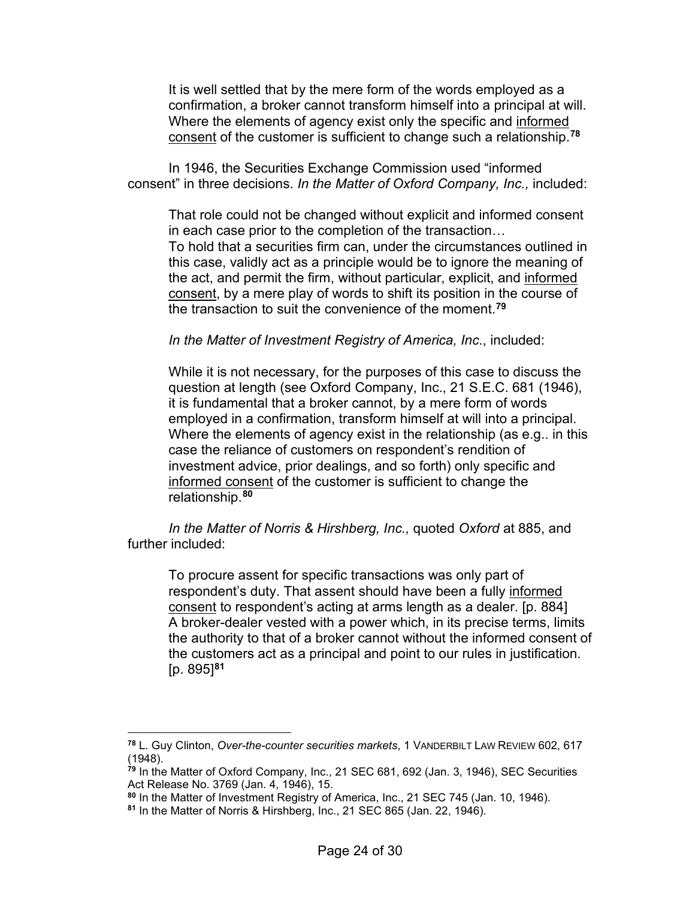It is well settled that by the mere form of the words employed as a confirmation, a broker cannot transform himself into a principal at will. Where the elements of agency exist only the specific and informed consent of the customer is sufficient to change such a relationship.**[78](#page-23-0)**

In 1946, the Securities Exchange Commission used "informed consent" in three decisions. *In the Matter of Oxford Company, Inc.,* included:

That role could not be changed without explicit and informed consent in each case prior to the completion of the transaction… To hold that a securities firm can, under the circumstances outlined in this case, validly act as a principle would be to ignore the meaning of the act, and permit the firm, without particular, explicit, and informed consent, by a mere play of words to shift its position in the course of the transaction to suit the convenience of the moment.**[79](#page-23-1)**

*In the Matter of Investment Registry of America, Inc*., included:

While it is not necessary, for the purposes of this case to discuss the question at length (see Oxford Company, Inc., 21 S.E.C. 681 (1946), it is fundamental that a broker cannot, by a mere form of words employed in a confirmation, transform himself at will into a principal. Where the elements of agency exist in the relationship (as e.g.. in this case the reliance of customers on respondent's rendition of investment advice, prior dealings, and so forth) only specific and informed consent of the customer is sufficient to change the relationship.**[80](#page-23-2)**

*In the Matter of Norris & Hirshberg, Inc.,* quoted *Oxford* at 885, and further included:

To procure assent for specific transactions was only part of respondent's duty. That assent should have been a fully informed consent to respondent's acting at arms length as a dealer. [p. 884] A broker-dealer vested with a power which, in its precise terms, limits the authority to that of a broker cannot without the informed consent of the customers act as a principal and point to our rules in justification. [p. 895]**[81](#page-23-3)**

<span id="page-23-0"></span>**<sup>78</sup>** L. Guy Clinton, *Over-the-counter securities markets*, 1 VANDERBILT LAW REVIEW 602, 617 (1948).

<span id="page-23-1"></span>**<sup>79</sup>** In the Matter of Oxford Company, Inc., 21 SEC 681, 692 (Jan. 3, 1946), SEC Securities Act Release No. 3769 (Jan. 4, 1946), 15.

<span id="page-23-2"></span>**<sup>80</sup>** In the Matter of Investment Registry of America, Inc., 21 SEC 745 (Jan. 10, 1946).

<span id="page-23-3"></span>**<sup>81</sup>** In the Matter of Norris & Hirshberg, Inc., 21 SEC 865 (Jan. 22, 1946).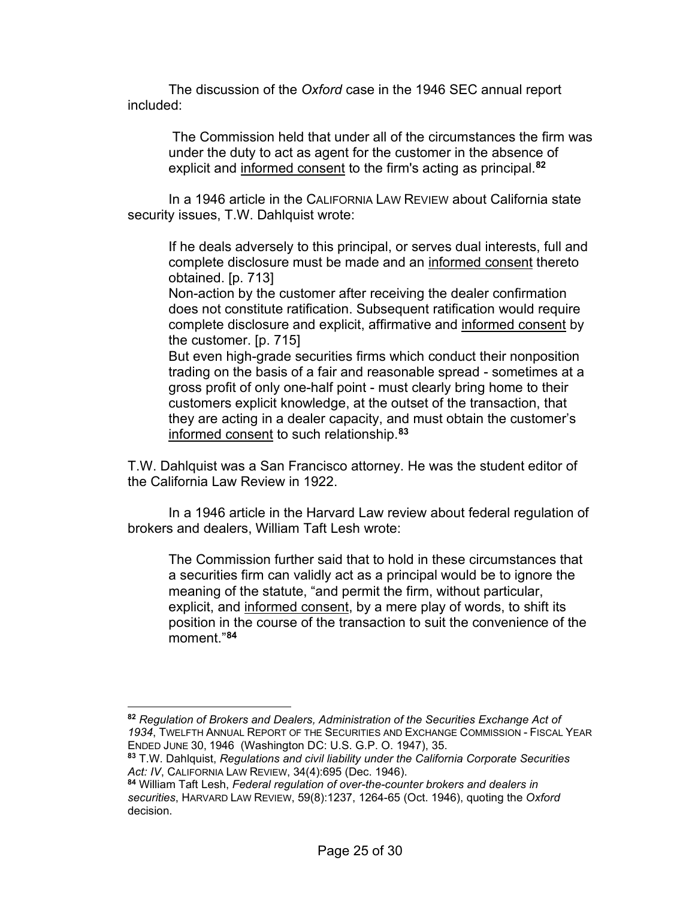The discussion of the *Oxford* case in the 1946 SEC annual report included:

The Commission held that under all of the circumstances the firm was under the duty to act as agent for the customer in the absence of explicit and informed consent to the firm's acting as principal.**[82](#page-24-0)**

In a 1946 article in the CALIFORNIA LAW REVIEW about California state security issues, T.W. Dahlquist wrote:

If he deals adversely to this principal, or serves dual interests, full and complete disclosure must be made and an informed consent thereto obtained. [p. 713]

Non-action by the customer after receiving the dealer confirmation does not constitute ratification. Subsequent ratification would require complete disclosure and explicit, affirmative and informed consent by the customer. [p. 715]

But even high-grade securities firms which conduct their nonposition trading on the basis of a fair and reasonable spread - sometimes at a gross profit of only one-half point - must clearly bring home to their customers explicit knowledge, at the outset of the transaction, that they are acting in a dealer capacity, and must obtain the customer's informed consent to such relationship.**[83](#page-24-1)**

T.W. Dahlquist was a San Francisco attorney. He was the student editor of the California Law Review in 1922.

In a 1946 article in the Harvard Law review about federal regulation of brokers and dealers, William Taft Lesh wrote:

The Commission further said that to hold in these circumstances that a securities firm can validly act as a principal would be to ignore the meaning of the statute, "and permit the firm, without particular, explicit, and informed consent, by a mere play of words, to shift its position in the course of the transaction to suit the convenience of the moment."**[84](#page-24-2)**

<span id="page-24-0"></span>**<sup>82</sup>** *Regulation of Brokers and Dealers, Administration of the Securities Exchange Act of 1934*, TWELFTH ANNUAL REPORT OF THE SECURITIES AND EXCHANGE COMMISSION - FISCAL YEAR ENDED JUNE 30, 1946 (Washington DC: U.S. G.P. O. 1947), 35.

<span id="page-24-1"></span>**<sup>83</sup>** T.W. Dahlquist, *Regulations and civil liability under the California Corporate Securities Act: IV*, CALIFORNIA LAW REVIEW, 34(4):695 (Dec. 1946).

<span id="page-24-2"></span>**<sup>84</sup>** William Taft Lesh, *Federal regulation of over-the-counter brokers and dealers in securities*, HARVARD LAW REVIEW, 59(8):1237, 1264-65 (Oct. 1946), quoting the *Oxford* decision.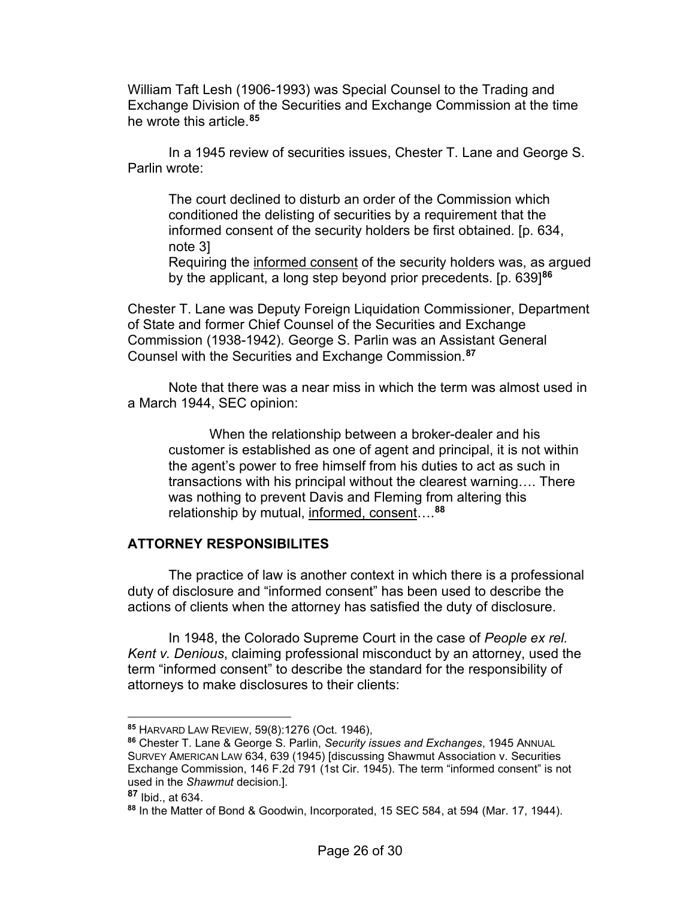William Taft Lesh (1906-1993) was Special Counsel to the Trading and Exchange Division of the Securities and Exchange Commission at the time he wrote this article.**[85](#page-25-0)**

In a 1945 review of securities issues, Chester T. Lane and George S. Parlin wrote:

The court declined to disturb an order of the Commission which conditioned the delisting of securities by a requirement that the informed consent of the security holders be first obtained. [p. 634, note 3]

Requiring the informed consent of the security holders was, as argued by the applicant, a long step beyond prior precedents. [p. 639]**[86](#page-25-1)**

Chester T. Lane was Deputy Foreign Liquidation Commissioner, Department of State and former Chief Counsel of the Securities and Exchange Commission (1938-1942). George S. Parlin was an Assistant General Counsel with the Securities and Exchange Commission.**[87](#page-25-2)**

Note that there was a near miss in which the term was almost used in a March 1944, SEC opinion:

When the relationship between a broker-dealer and his customer is established as one of agent and principal, it is not within the agent's power to free himself from his duties to act as such in transactions with his principal without the clearest warning…. There was nothing to prevent Davis and Fleming from altering this relationship by mutual, informed, consent….**[88](#page-25-3)**

### **ATTORNEY RESPONSIBILITES**

The practice of law is another context in which there is a professional duty of disclosure and "informed consent" has been used to describe the actions of clients when the attorney has satisfied the duty of disclosure.

In 1948, the Colorado Supreme Court in the case of *People ex rel. Kent v. Denious*, claiming professional misconduct by an attorney, used the term "informed consent" to describe the standard for the responsibility of attorneys to make disclosures to their clients:

<span id="page-25-0"></span>**<sup>85</sup>** HARVARD LAW REVIEW, 59(8):1276 (Oct. 1946),

<span id="page-25-1"></span>**<sup>86</sup>** Chester T. Lane & George S. Parlin, *Security issues and Exchanges*, 1945 ANNUAL SURVEY AMERICAN LAW 634, 639 (1945) [discussing Shawmut Association v. Securities Exchange Commission, 146 F.2d 791 (1st Cir. 1945). The term "informed consent" is not used in the *Shawmut* decision.].

<span id="page-25-2"></span>**<sup>87</sup>** Ibid., at 634.

<span id="page-25-3"></span>**<sup>88</sup>** In the Matter of Bond & Goodwin, Incorporated, 15 SEC 584, at 594 (Mar. 17, 1944).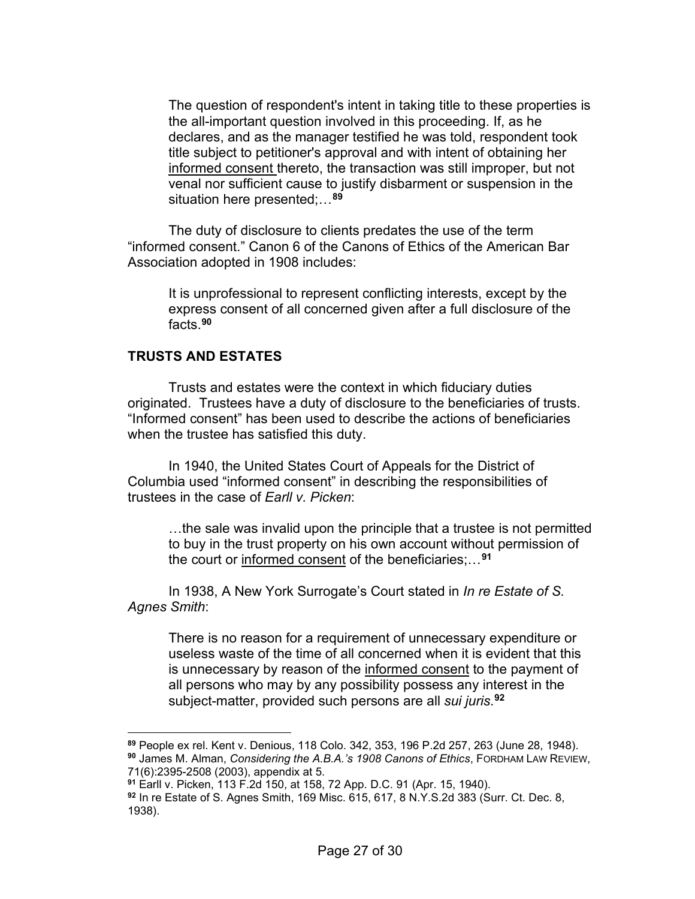The question of respondent's intent in taking title to these properties is the all-important question involved in this proceeding. If, as he declares, and as the manager testified he was told, respondent took title subject to petitioner's approval and with intent of obtaining her informed consent thereto, the transaction was still improper, but not venal nor sufficient cause to justify disbarment or suspension in the situation here presented;…**[89](#page-26-0)**

The duty of disclosure to clients predates the use of the term "informed consent." Canon 6 of the Canons of Ethics of the American Bar Association adopted in 1908 includes:

It is unprofessional to represent conflicting interests, except by the express consent of all concerned given after a full disclosure of the facts.**[90](#page-26-1)**

## **TRUSTS AND ESTATES**

Trusts and estates were the context in which fiduciary duties originated. Trustees have a duty of disclosure to the beneficiaries of trusts. "Informed consent" has been used to describe the actions of beneficiaries when the trustee has satisfied this duty.

In 1940, the United States Court of Appeals for the District of Columbia used "informed consent" in describing the responsibilities of trustees in the case of *Earll v. Picken*:

…the sale was invalid upon the principle that a trustee is not permitted to buy in the trust property on his own account without permission of the court or informed consent of the beneficiaries;…**[91](#page-26-2)**

In 1938, A New York Surrogate's Court stated in *In re Estate of S. Agnes Smith*:

There is no reason for a requirement of unnecessary expenditure or useless waste of the time of all concerned when it is evident that this is unnecessary by reason of the informed consent to the payment of all persons who may by any possibility possess any interest in the subject-matter, provided such persons are all *sui juris*. **[92](#page-26-3)**

<span id="page-26-1"></span><span id="page-26-0"></span>**<sup>89</sup>** People ex rel. Kent v. Denious, 118 Colo. 342, 353, 196 P.2d 257, 263 (June 28, 1948). **<sup>90</sup>** James M. Alman, *Considering the A.B.A.'s 1908 Canons of Ethics*, FORDHAM LAW REVIEW, 71(6):2395-2508 (2003), appendix at 5.

<span id="page-26-2"></span>**<sup>91</sup>** Earll v. Picken, 113 F.2d 150, at 158, 72 App. D.C. 91 (Apr. 15, 1940).

<span id="page-26-3"></span>**<sup>92</sup>** In re Estate of S. Agnes Smith, 169 Misc. 615, 617, 8 N.Y.S.2d 383 (Surr. Ct. Dec. 8, 1938).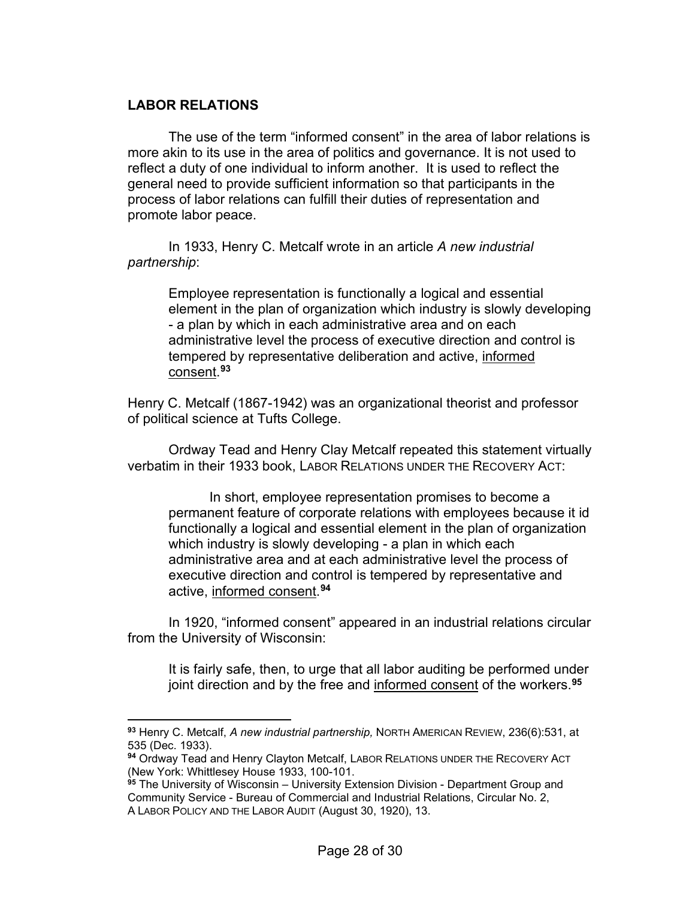# **LABOR RELATIONS**

The use of the term "informed consent" in the area of labor relations is more akin to its use in the area of politics and governance. It is not used to reflect a duty of one individual to inform another. It is used to reflect the general need to provide sufficient information so that participants in the process of labor relations can fulfill their duties of representation and promote labor peace.

In 1933, Henry C. Metcalf wrote in an article *A new industrial partnership*:

> Employee representation is functionally a logical and essential element in the plan of organization which industry is slowly developing - a plan by which in each administrative area and on each administrative level the process of executive direction and control is tempered by representative deliberation and active, informed consent. **[93](#page-27-0)**

Henry C. Metcalf (1867-1942) was an organizational theorist and professor of political science at Tufts College.

Ordway Tead and Henry Clay Metcalf repeated this statement virtually verbatim in their 1933 book, LABOR RELATIONS UNDER THE RECOVERY ACT:

In short, employee representation promises to become a permanent feature of corporate relations with employees because it id functionally a logical and essential element in the plan of organization which industry is slowly developing - a plan in which each administrative area and at each administrative level the process of executive direction and control is tempered by representative and active, informed consent. **[94](#page-27-1)**

In 1920, "informed consent" appeared in an industrial relations circular from the University of Wisconsin:

It is fairly safe, then, to urge that all labor auditing be performed under joint direction and by the free and informed consent of the workers.**[95](#page-27-2)**

<span id="page-27-0"></span>**<sup>93</sup>** Henry C. Metcalf, *A new industrial partnership,* NORTH AMERICAN REVIEW, 236(6):531, at 535 (Dec. 1933).

<span id="page-27-1"></span>**<sup>94</sup>** Ordway Tead and Henry Clayton Metcalf, LABOR RELATIONS UNDER THE RECOVERY ACT (New York: Whittlesey House 1933, 100-101.

<span id="page-27-2"></span>**<sup>95</sup>** The University of Wisconsin – University Extension Division - Department Group and Community Service - Bureau of Commercial and Industrial Relations, Circular No. 2, A LABOR POLICY AND THE LABOR AUDIT (August 30, 1920), 13.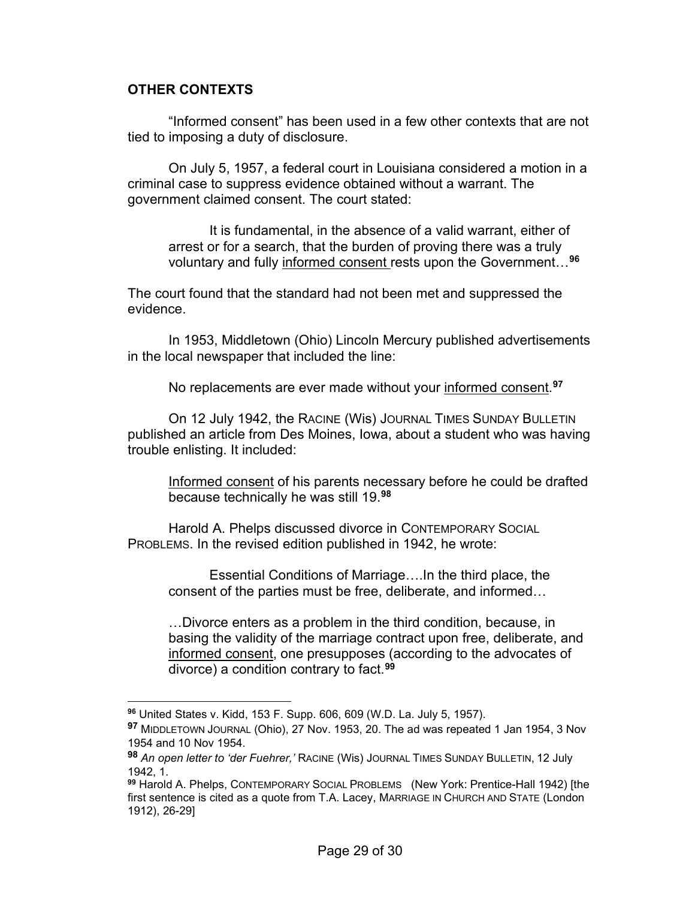### **OTHER CONTEXTS**

"Informed consent" has been used in a few other contexts that are not tied to imposing a duty of disclosure.

On July 5, 1957, a federal court in Louisiana considered a motion in a criminal case to suppress evidence obtained without a warrant. The government claimed consent. The court stated:

It is fundamental, in the absence of a valid warrant, either of arrest or for a search, that the burden of proving there was a truly voluntary and fully informed consent rests upon the Government…**[96](#page-28-0)**

The court found that the standard had not been met and suppressed the evidence.

In 1953, Middletown (Ohio) Lincoln Mercury published advertisements in the local newspaper that included the line:

No replacements are ever made without your informed consent. **[97](#page-28-1)**

On 12 July 1942, the RACINE (Wis) JOURNAL TIMES SUNDAY BULLETIN published an article from Des Moines, Iowa, about a student who was having trouble enlisting. It included:

Informed consent of his parents necessary before he could be drafted because technically he was still 19.**[98](#page-28-2)**

Harold A. Phelps discussed divorce in CONTEMPORARY SOCIAL PROBLEMS. In the revised edition published in 1942, he wrote:

Essential Conditions of Marriage….In the third place, the consent of the parties must be free, deliberate, and informed…

…Divorce enters as a problem in the third condition, because, in basing the validity of the marriage contract upon free, deliberate, and informed consent, one presupposes (according to the advocates of divorce) a condition contrary to fact.**[99](#page-28-3)**

<span id="page-28-0"></span>**<sup>96</sup>** United States v. Kidd, 153 F. Supp. 606, 609 (W.D. La. July 5, 1957).

<span id="page-28-1"></span>**<sup>97</sup>** MIDDLETOWN JOURNAL (Ohio), 27 Nov. 1953, 20. The ad was repeated 1 Jan 1954, 3 Nov 1954 and 10 Nov 1954.

<span id="page-28-2"></span>**<sup>98</sup>** *An open letter to 'der Fuehrer,'* RACINE (Wis) JOURNAL TIMES SUNDAY BULLETIN, 12 July 1942, 1.

<span id="page-28-3"></span>**<sup>99</sup>** Harold A. Phelps, CONTEMPORARY SOCIAL PROBLEMS (New York: Prentice-Hall 1942) [the first sentence is cited as a quote from T.A. Lacey, MARRIAGE IN CHURCH AND STATE (London 1912), 26-29]